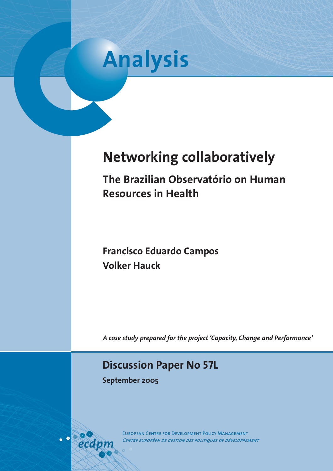

# **Networking collaboratively**

**The Brazilian Observatório on Human Resources in Health**

**Francisco Eduardo Campos Volker Hauck**

*A case study prepared for the project 'Capacity, Change and Performance'*

### **Discussion Paper No 57L**

**September 2005**

European Centre for Development Policy Management *Centre européen de gestion des politiques de développement*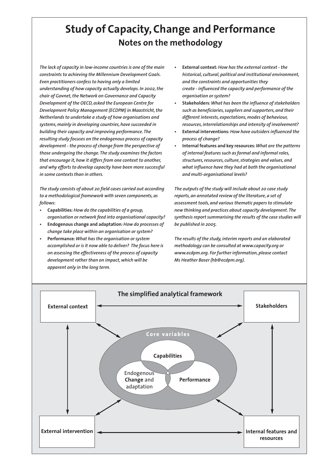# **Study of Capacity, Change and Performance Notes on the methodology**

*The lack of capacity in low-income countries is one of the main constraints to achieving the Millennium Development Goals. Even practitioners confess to having only a limited understanding of how capacity actually develops. In 2002, the chair of Govnet, the Network on Governance and Capacity Development of the OECD, asked the European Centre for Development Policy Management (ECDPM) in Maastricht, the Netherlands to undertake a study of how organisations and systems, mainly in developing countries, have succeeded in building their capacity and improving performance. The resulting study focuses on the endogenous process of capacity development - the process of change from the perspective of those undergoing the change. The study examines the factors that encourage it, how it differs from one context to another, and why efforts to develop capacity have been more successful in some contexts than in others.*

*The study consists of about 20 field cases carried out according to a methodological framework with seven components, as follows:*

- *•* **Capabilities***: How do the capabilities of a group, organisation or network feed into organisational capacity?*
- *•* **Endogenous change and adaptation***: How do processes of change take place within an organisation or system?*
- *•* **Performance***: What has the organisation or system accomplished or is it now able to deliver? The focus here is on assessing the effectiveness of the process of capacity development rather than on impact, which will be apparent only in the long term.*
- *•* **External context***: How has the external context the historical, cultural, political and institutional environment, and the constraints and opportunities they create - influenced the capacity and performance of the organisation or system?*
- *•* **Stakeholders***: What has been the influence of stakeholders such as beneficiaries, suppliers and supporters, and their different interests, expectations, modes of behaviour, resources, interrelationships and intensity of involvement?*
- *•* **External interventions***: How have outsiders influenced the process of change?*
- *•* **Internal features and key resources***: What are the patterns of internal features such as formal and informal roles, structures, resources, culture, strategies and values, and what influence have they had at both the organisational and multi-organisational levels?*

*The outputs of the study will include about 20 case study reports, an annotated review of the literature, a set of assessment tools, and various thematic papers to stimulate new thinking and practices about capacity development. The synthesis report summarising the results of the case studies will be published in 2005.*

*The results of the study, interim reports and an elaborated methodology can be consulted at www.capacity.org or www.ecdpm.org. For further information, please contact Ms Heather Baser (hb@ecdpm.org).*

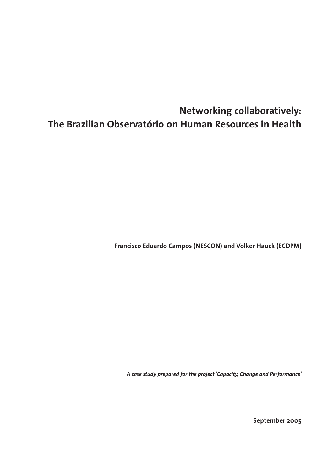# **Networking collaboratively: The Brazilian Observatório on Human Resources in Health**

**Francisco Eduardo Campos (NESCON) and Volker Hauck (ECDPM)**

*A case study prepared for the project 'Capacity, Change and Performance'*

**September 2005**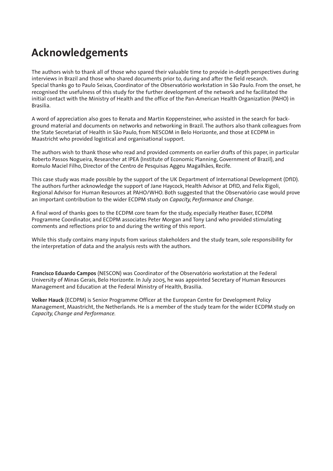# **Acknowledgements**

The authors wish to thank all of those who spared their valuable time to provide in-depth perspectives during interviews in Brazil and those who shared documents prior to, during and after the field research. Special thanks go to Paulo Seixas, Coordinator of the Observatório workstation in São Paulo. From the onset, he recognised the usefulness of this study for the further development of the network and he facilitated the initial contact with the Ministry of Health and the office of the Pan-American Health Organization (PAHO) in Brasilia.

A word of appreciation also goes to Renata and Martin Koppensteiner, who assisted in the search for background material and documents on networks and networking in Brazil. The authors also thank colleagues from the State Secretariat of Health in São Paulo, from NESCOM in Belo Horizonte, and those at ECDPM in Maastricht who provided logistical and organisational support.

The authors wish to thank those who read and provided comments on earlier drafts of this paper, in particular Roberto Passos Nogueira, Researcher at IPEA (Institute of Economic Planning, Government of Brazil), and Romulo Maciel Filho, Director of the Centro de Pesquisas Aggeu Magalhães, Recife.

This case study was made possible by the support of the UK Department of International Development (DfID). The authors further acknowledge the support of Jane Haycock, Health Advisor at DfID, and Felix Rigoli, Regional Advisor for Human Resources at PAHO/WHO. Both suggested that the Observatório case would prove an important contribution to the wider ECDPM study on *Capacity, Performance and Change*.

A final word of thanks goes to the ECDPM core team for the study, especially Heather Baser, ECDPM Programme Coordinator, and ECDPM associates Peter Morgan and Tony Land who provided stimulating comments and reflections prior to and during the writing of this report.

While this study contains many inputs from various stakeholders and the study team, sole responsibility for the interpretation of data and the analysis rests with the authors.

**Francisco Eduardo Campos** (NESCON) was Coordinator of the Observatório workstation at the Federal University of Minas Gerais, Belo Horizonte. In July 2005, he was appointed Secretary of Human Resources Management and Education at the Federal Ministry of Health, Brasilia.

**Volker Hauck** (ECDPM) is Senior Programme Officer at the European Centre for Development Policy Management, Maastricht, the Netherlands. He is a member of the study team for the wider ECDPM study on *Capacity, Change and Performance.*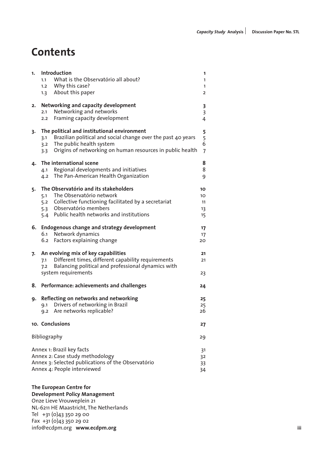# **Contents**

| 1.                                                                                                                                                      | Introduction<br>What is the Observatório all about?<br>1.1<br>1.2 Why this case?<br>1.3 About this paper                                                                                                               | 1<br>1<br>1<br>2                                             |  |  |
|---------------------------------------------------------------------------------------------------------------------------------------------------------|------------------------------------------------------------------------------------------------------------------------------------------------------------------------------------------------------------------------|--------------------------------------------------------------|--|--|
| 2.                                                                                                                                                      | Networking and capacity development<br>Networking and networks<br>2.1<br>Framing capacity development<br>2.2                                                                                                           | 3<br>3<br>4                                                  |  |  |
| 3.                                                                                                                                                      | The political and institutional environment<br>Brazilian political and social change over the past 40 years<br>3.1<br>3.2 The public health system<br>Origins of networking on human resources in public health<br>3.3 | 5<br>$\begin{array}{c} 5 \\ 6 \end{array}$<br>$\overline{7}$ |  |  |
| 4.                                                                                                                                                      | The international scene<br>4.1 Regional developments and initiatives<br>4.2 The Pan-American Health Organization                                                                                                       | 8<br>8<br>9                                                  |  |  |
| 5.                                                                                                                                                      | The Observatório and its stakeholders<br>The Observatório network<br>5.1<br>5.2 Collective functioning facilitated by a secretariat<br>5.3 Observatório members<br>5.4 Public health networks and institutions         | 10<br>10<br>11<br>13<br>15                                   |  |  |
|                                                                                                                                                         | 6. Endogenous change and strategy development<br>6.1 Network dynamics<br>6.2 Factors explaining change                                                                                                                 | 17<br>17<br>20                                               |  |  |
| 7.                                                                                                                                                      | An evolving mix of key capabilities<br>Different times, different capability requirements<br>7.1<br>Balancing political and professional dynamics with<br>7.2<br>system requirements                                   | 21<br>21<br>23                                               |  |  |
| 8.                                                                                                                                                      | Performance: achievements and challenges                                                                                                                                                                               | 24                                                           |  |  |
| 9.                                                                                                                                                      | Reflecting on networks and networking<br>9.1 Drivers of networking in Brazil<br>9.2 Are networks replicable?                                                                                                           | 25<br>25<br>26                                               |  |  |
|                                                                                                                                                         | 10. Conclusions                                                                                                                                                                                                        | 27                                                           |  |  |
|                                                                                                                                                         | <b>Bibliography</b>                                                                                                                                                                                                    | 29                                                           |  |  |
| Annex 1: Brazil key facts<br>Annex 2: Case study methodology<br>Annex 3: Selected publications of the Observatório<br>Annex 4: People interviewed<br>34 |                                                                                                                                                                                                                        |                                                              |  |  |

**The European Centre for Development Policy Management** Onze Lieve Vrouweplein 21 NL-6211 HE Maastricht, The Netherlands Tel  $+31$  (0) 43 350 29 00 Fax  $+31$  (0) 43 350 29 02 info@ecdpm.org **www.ecdpm.org**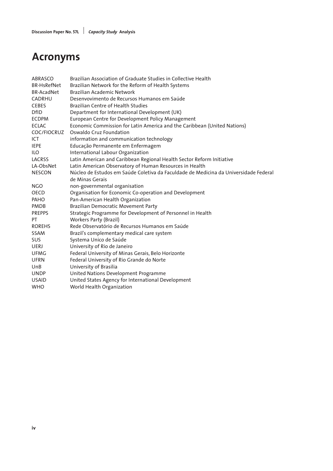# **Acronyms**

| <b>ABRASCO</b>     | Brazilian Association of Graduate Studies in Collective Health                       |
|--------------------|--------------------------------------------------------------------------------------|
| <b>BR-HsRefNet</b> | Brazilian Network for the Reform of Health Systems                                   |
| <b>BR-AcadNet</b>  | <b>Brazilian Academic Network</b>                                                    |
| <b>CADRHU</b>      | Desenvovimento de Recursos Humanos em Saúde                                          |
| <b>CEBES</b>       | <b>Brazilian Centre of Health Studies</b>                                            |
| <b>DfID</b>        | Department for International Development (UK)                                        |
| <b>ECDPM</b>       | European Centre for Development Policy Management                                    |
| <b>ECLAC</b>       | Economic Commission for Latin America and the Caribbean (United Nations)             |
| COC/FIOCRUZ        | Oswaldo Cruz Foundation                                                              |
| ICT                | information and communication technology                                             |
| <b>IEPE</b>        | Educação Permanente em Enfermagem                                                    |
| <b>ILO</b>         | International Labour Organization                                                    |
| LACRSS             | Latin American and Caribbean Regional Health Sector Reform Initiative                |
| LA-ObsNet          | Latin American Observatory of Human Resources in Health                              |
| <b>NESCON</b>      | Núcleo de Estudos em Saúde Coletiva da Faculdade de Medicina da Universidade Federal |
|                    | de Minas Gerais                                                                      |
| NGO.               | non-governmental organisation                                                        |
| <b>OECD</b>        | Organisation for Economic Co-operation and Development                               |
| PAHO               | Pan-American Health Organization                                                     |
| <b>PMDB</b>        | Brazilian Democratic Movement Party                                                  |
| <b>PREPPS</b>      | Strategic Programme for Development of Personnel in Health                           |
| PT.                | <b>Workers Party (Brazil)</b>                                                        |
| <b>ROREHS</b>      | Rede Observatório de Recursos Humanos em Saúde                                       |
| SSAM               | Brazil's complementary medical care system                                           |
| <b>SUS</b>         | Systema Unico de Saúde                                                               |
| UERJ               | University of Rio de Janeiro                                                         |
| UFMG               | Federal University of Minas Gerais, Belo Horizonte                                   |
| <b>UFRN</b>        | Federal University of Rio Grande do Norte                                            |
| UnB                | University of Brasilia                                                               |
| <b>UNDP</b>        | United Nations Development Programme                                                 |
| <b>USAID</b>       | United States Agency for International Development                                   |
| <b>WHO</b>         | World Health Organization                                                            |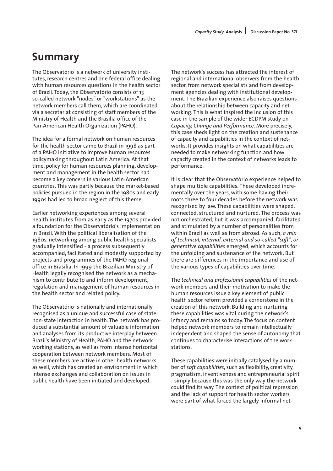# **Summary**

The Observatório is a network of university institutes, research centres and one federal office dealing with human resources questions in the health sector of Brazil. Today, the Observatório consists of 13 so-called network "nodes" or "workstations" as the network members call them, which are coordinated via a secretariat consisting of staff members of the Ministry of Health and the Brasilia office of the Pan-American Health Organization (PAHO).

The idea for a formal network on human resources for the health sector came to Brazil in 1998 as part of a PAHO initiative to improve human resources policymaking throughout Latin America. At that time, policy for human resources planning, development and management in the health sector had become a key concern in various Latin-American countries. This was partly because the market-based policies pursued in the region in the 1980s and early 1990s had led to broad neglect of this theme.

Earlier networking experiences among several health institutes from as early as the 1970s provided a foundation for the Observatório's implementation in Brazil. With the political liberalisation of the 1980s, networking among public health specialists gradually intensified - a process subsequently accompanied, facilitated and modestly supported by projects and programmes of the PAHO regional office in Brasilia. In 1999 the Brazilian Ministry of Health legally recognised the network as a mechanism to contribute to and inform development, regulation and management of human resources in the health sector and related policy.

The Observatório is nationally and internationally recognised as a unique and successful case of statenon-state interaction in health. The network has produced a substantial amount of valuable information and analyses from its productive interplay between Brazil's Ministry of Health, PAHO and the network working stations, as well as from intense horizontal cooperation between network members. Most of these members are active in other health networks as well, which has created an environment in which intense exchanges and collaboration on issues in public health have been initiated and developed.

The network's success has attracted the interest of regional and international observers from the health sector, from network specialists and from development agencies dealing with institutional development. The Brazilian experience also raises questions about the relationship between capacity and networking. This is what inspired the inclusion of this case in the sample of the wider ECDPM study on *Capacity, Change and Performance*. More precisely, this case sheds light on the creation and sustenance of capacity and capabilities in the context of networks. It provides insights on what capabilities are needed to make networking function and how capacity created in the context of networks leads to performance.

It is clear that the Observatório experience helped to shape multiple capabilities. These developed incrementally over the years, with some having their roots three to four decades before the network was recognised by law. These capabilities were shaped, connected, structured and nurtured. The process was not orchestrated, but it was accompanied, facilitated and stimulated by a number of personalities from within Brazil as well as from abroad. As such, *a mix of technical, internal, external and so-called "soft", or generative capabilities* emerged, which accounts for the unfolding and sustenance of the network. But there are differences in the importance and use of the various types of capabilities over time.

The *technical and professional capabilities* of the network members and their motivation to make the human resources issue a key element of public health sector reform provided a cornerstone in the creation of this network. Building and nurturing these capabilities was vital during the network's infancy and remains so today. The focus on content helped network members to remain intellectually independent and shaped the sense of autonomy that continues to characterise interactions of the workstations.

These capabilities were initially catalysed by a number of *soft capabilities*, such as flexibility, creativity, pragmatism, inventiveness and entrepreneurial spirit - simply because this was the only way the network could find its way. The context of political repression and the lack of support for health sector workers were part of what forced the largely informal net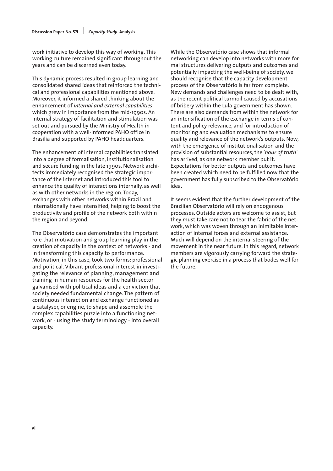work initiative to develop this way of working. This working culture remained significant throughout the years and can be discerned even today.

This dynamic process resulted in group learning and consolidated shared ideas that reinforced the technical and professional capabilities mentioned above. Moreover, it informed a shared thinking about the enhancement of *internal and external capabilities* which grew in importance from the mid-1990s. An internal strategy of facilitation and stimulation was set out and pursued by the Ministry of Health in cooperation with a well-informed PAHO office in Brasilia and supported by PAHO headquarters.

The enhancement of internal capabilities translated into a degree of formalisation, institutionalisation and secure funding in the late 1990s. Network architects immediately recognised the strategic importance of the Internet and introduced this tool to enhance the quality of interactions internally, as well as with other networks in the region. Today, exchanges with other networks within Brazil and internationally have intensified, helping to boost the productivity and profile of the network both within the region and beyond.

The Observatório case demonstrates the important role that motivation and group learning play in the creation of capacity in the context of networks - and in transforming this capacity to performance. Motivation, in this case, took two forms: professional and political. Vibrant professional interest in investigating the relevance of planning, management and training in human resources for the health sector galvanised with political ideas and a conviction that society needed fundamental change. The pattern of continuous interaction and exchange functioned as a catalyser, or engine, to shape and assemble the complex capabilities puzzle into a functioning network, or - using the study terminology - into overall capacity.

While the Observatório case shows that informal networking can develop into networks with more formal structures delivering outputs and outcomes and potentially impacting the well-being of society, we should recognise that the capacity development process of the Observatório is far from complete. New demands and challenges need to be dealt with, as the recent political turmoil caused by accusations of bribery within the Lula government has shown. There are also demands from within the network for an intensification of the exchange in terms of content and policy relevance, and for introduction of monitoring and evaluation mechanisms to ensure quality and relevance of the network's outputs. Now, with the emergence of institutionalisation and the provision of substantial resources, the *'hour of truth'* has arrived, as one network member put it. Expectations for better outputs and outcomes have been created which need to be fulfilled now that the government has fully subscribed to the Observatório idea.

It seems evident that the further development of the Brazilian Observatório will rely on endogenous processes. Outside actors are welcome to assist, but they must take care not to tear the fabric of the network, which was woven through an inimitable interaction of internal forces and external assistance. Much will depend on the internal steering of the movement in the near future. In this regard, network members are vigorously carrying forward the strategic planning exercise in a process that bodes well for the future.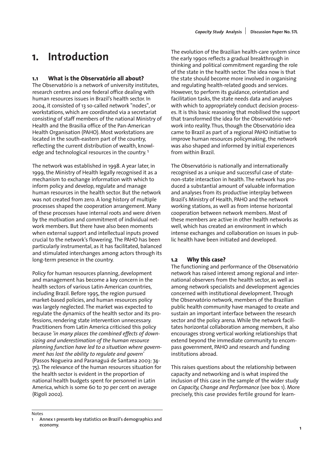## **1. Introduction**

### **1.1 What is the Observatório all about?**

The Observatório is a network of university institutes, research centres and one federal office dealing with human resources issues in Brazil's health sector. In 2004, it consisted of 13 so-called network "nodes", or workstations, which are coordinated via a secretariat consisting of staff members of the national Ministry of Health and the Brasilia office of the Pan-American Health Organisation (PAHO). Most workstations are located in the south-eastern part of the country, reflecting the current distribution of wealth, knowledge and technological resources in the country.<sup>1</sup>

The network was established in 1998. A year later, in 1999, the Ministry of Health legally recognised it as a mechanism to exchange information with which to inform policy and develop, regulate and manage human resources in the health sector. But the network was not created from zero. A long history of multiple processes shaped the cooperation arrangement. Many of these processes have internal roots and were driven by the motivation and commitment of individual network members. But there have also been moments when external support and intellectual inputs proved crucial to the network's flowering. The PAHO has been particularly instrumental, as it has facilitated, balanced and stimulated interchanges among actors through its long-term presence in the country.

Policy for human resources planning, development and management has become a key concern in the health sectors of various Latin-American countries, including Brazil. Before 1995, the region pursued market-based policies, and human resources policy was largely neglected. The market was expected to regulate the dynamics of the health sector and its professions, rendering state intervention unnecessary. Practitioners from Latin America criticised this policy because *'in many places the combined effects of downsizing and underestimation of the human resource planning function have led to a situation where government has lost the ability to regulate and govern'* (Passos Nogueira and Paranaguá de Santana 2003: 74- 75). The relevance of the human resources situation for the health sector is evident in the proportion of national health budgets spent for personnel in Latin America, which is some 60 to 70 per cent on average (Rigoli 2002).

The Observatório is nationally and internationally recognised as a unique and successful case of statenon-state interaction in health. The network has produced a substantial amount of valuable information and analyses from its productive interplay between Brazil's Ministry of Health, PAHO and the network working stations, as well as from intense horizontal cooperation between network members. Most of these members are active in other health networks as well, which has created an environment in which intense exchanges and collaboration on issues in public health have been initiated and developed.

### **1.2 Why this case?**

The functioning and performance of the Observatório network has raised interest among regional and international observers from the health sector, as well as among network specialists and development agencies concerned with institutional development. Through the Observatório network, members of the Brazilian public health community have managed to create and sustain an important interface between the research sector and the policy arena. While the network facilitates horizontal collaboration among members, it also encourages strong vertical working relationships that extend beyond the immediate community to encompass government, PAHO and research and funding institutions abroad.

This raises questions about the relationship between capacity and networking and is what inspired the inclusion of this case in the sample of the wider study on *Capacity, Change and Performance* (see box 1). More precisely, this case provides fertile ground for learn-

#### Notes

The evolution of the Brazilian health-care system since the early 1990s reflects a gradual breakthrough in thinking and political commitment regarding the role of the state in the health sector. The idea now is that the state should become more involved in organising and regulating health-related goods and services. However, to perform its guidance, orientation and facilitation tasks, the state needs data and analyses with which to appropriately conduct decision processes. It is this basic reasoning that mobilised the support that transformed the idea for the Observatório network into reality. Thus, though the Observatório idea came to Brazil as part of a regional PAHO initiative to improve human resources policymaking, the network was also shaped and informed by initial experiences from within Brazil.

**<sup>1</sup> Annex 1 presents key statistics on Brazil's demographics and economy.**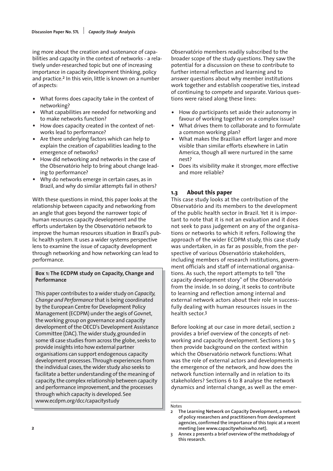ing more about the creation and sustenance of capabilities and capacity in the context of networks - a relatively under-researched topic but one of increasing importance in capacity development thinking, policy and practice.<sup>2</sup> In this vein, little is known on a number of aspects:

- What forms does capacity take in the context of networking?
- What capabilities are needed for networking and to make networks function?
- How does capacity created in the context of networks lead to performance?
- Are there underlying factors which can help to explain the creation of capabilities leading to the emergence of networks?
- How did networking and networks in the case of the Observatório help to bring about change leading to performance?
- Why do networks emerge in certain cases, as in Brazil, and why do similar attempts fail in others?

With these questions in mind, this paper looks at the relationship between capacity and networking from an angle that goes beyond the narrower topic of human resources capacity development and the efforts undertaken by the Observatório network to improve the human resources situation in Brazil's public health system. It uses a wider systems perspective lens to examine the issue of capacity development through networking and how networking can lead to performance.

### **Box 1: The ECDPM study on Capacity, Change and Performance**

This paper contributes to a wider study on *Capacity, Change and Performance* that is being coordinated by the European Centre for Development Policy Management (ECDPM) under the aegis of Govnet, the working group on governance and capacity development of the OECD's Development Assistance Committee (DAC).The wider study, grounded in some 18 case studies from across the globe, seeks to provide insights into how external partner organisations can support endogenous capacity development processes.Through experiences from the individual cases, the wider study also seeks to facilitate a better understanding of the meaning of capacity, the complex relationship between capacity and performance improvement, and the processes through which capacity is developed. See www.ecdpm.org/dcc/capacitystudy

Observatório members readily subscribed to the broader scope of the study questions. They saw the potential for a discussion on these to contribute to further internal reflection and learning and to answer questions about why member institutions work together and establish cooperative ties, instead of continuing to compete and separate. Various questions were raised along these lines:

- How do participants set aside their autonomy in favour of working together on a complex issue?
- What drives them to collaborate and to formulate a common working plan?
- What makes the Brazilian effort larger and more visible than similar efforts elsewhere in Latin America, though all were nurtured in the same nest?
- Does its visibility make it stronger, more effective and more reliable?

### **1.3 About this paper**

This case study looks at the contribution of the Observatório and its members to the development of the public health sector in Brazil. Yet it is important to note that it is not an evaluation and it does not seek to pass judgement on any of the organisations or networks to which it refers. Following the approach of the wider ECDPM study, this case study was undertaken, in as far as possible, from the perspective of various Observatório stakeholders, including members of research institutions, government officials and staff of international organisations. As such, the report attempts to tell "the capacity development story" of the Observatório from the inside. In so doing, it seeks to contribute to learning and reflection among internal and external network actors about their role in successfully dealing with human resources issues in the health sector.3

Before looking at our case in more detail, section 2 provides a brief overview of the concepts of networking and capacity development. Sections 3 to 5 then provide background on the context within which the Observatório network functions: What was the role of external actors and developments in the emergence of the network, and how does the network function internally and in relation to its stakeholders? Sections 6 to 8 analyse the network dynamics and internal change, as well as the emer-

#### Notes

**<sup>2</sup> The Learning Network on Capacity Development, a network of policy researchers and practitioners from development agencies, confirmed the importance of this topic at a recent meeting (see www.capacitywhoiswho.net).**

**<sup>3</sup> Annex 2 presents a brief overview of the methodology of this research.**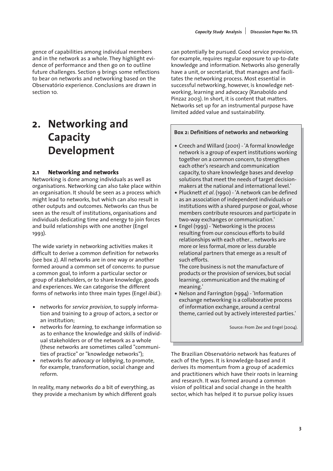gence of capabilities among individual members and in the network as a whole. They highlight evidence of performance and then go on to outline future challenges. Section 9 brings some reflections to bear on networks and networking based on the Observatório experience. Conclusions are drawn in section 10.

# **2. Networking and Capacity Development**

#### **2.1 Networking and networks**

Networking is done among individuals as well as organisations. Networking can also take place within an organisation. It should be seen as a process which might lead to networks, but which can also result in other outputs and outcomes. Networks can thus be seen as the result of institutions, organisations and individuals dedicating time and energy to join forces and build relationships with one another (Engel 1993).

The wide variety in networking activities makes it difficult to derive a common definition for networks (see box 2). All networks are in one way or another formed around a common set of concerns: to pursue a common goal, to inform a particular sector or group of stakeholders, or to share knowledge, goods and experiences. We can categorise the different forms of networks into three main types (Engel *ibid*.):

- networks for *service provision*, to supply information and training to a group of actors, a sector or an institution;
- networks for *learning*, to exchange information so as to enhance the knowledge and skills of individual stakeholders or of the network as a whole (these networks are sometimes called "communities of practice" or "knowledge networks");
- networks for *advocacy* or lobbying, to promote, for example, transformation, social change and reform.

In reality, many networks do a bit of everything, as they provide a mechanism by which different goals can potentially be pursued. Good service provision, for example, requires regular exposure to up-to-date knowledge and information. Networks also generally have a unit, or secretariat, that manages and facilitates the networking process. Most essential in successful networking, however, is knowledge networking, learning and advocacy (Ranaboldo and Pinzaz 2003). In short, it is content that matters. Networks set up for an instrumental purpose have limited added value and sustainability.

#### **Box 2: Definitions of networks and networking**

- Creech and Willard (2001) 'A formal knowledge network is a group of expert institutions working together on a common concern, to strengthen each other's research and communication capacity, to share knowledge bases and develop solutions that meet the needs of target decisionmakers at the national and international level.'
- Plucknett *et al*. (1990) 'A network can be defined as an association of independent individuals or institutions with a shared purpose or goal, whose members contribute resources and participate in two-way exchanges or communication.'
- Engel (1993) 'Networking is the process resulting from our conscious efforts to build relationships with each other… networks are more or less formal, more or less durable relational partners that emerge as a result of such efforts.

The core business is not the manufacture of products or the provision of services, but social learning, communication and the making of meaning.'

• Nelson and Farrington (1994) - 'Information exchange networking is a collaborative process of information exchange, around a central theme, carried out by actively interested parties.'

Source: From Zee and Engel (2004).

The Brazilian Observatório network has features of each of the types. It is knowledge-based and it derives its momentum from a group of academics and practitioners which have their roots in learning and research. It was formed around a common vision of political and social change in the health sector, which has helped it to pursue policy issues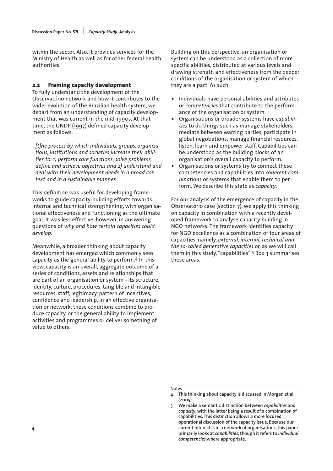within the sector. Also, it provides services for the Ministry of Health as well as for other federal health authorities.

#### **2.2 Framing capacity development**

To fully understand the development of the Observatório network and how it contributes to the wider evolution of the Brazilian health system, we depart from an understanding of capacity development that was current in the mid-1990s. At that time, the UNDP (1997) defined capacity development as follows:

*[t]he process by which individuals, groups, organizations, institutions and societies increase their abilities to: 1) perform core functions, solve problems, define and achieve objectives and 2) understand and deal with their development needs in a broad context and in a sustainable manner.*

This definition was useful for developing frameworks to guide capacity-building efforts towards internal and technical strengthening, with organisational effectiveness and functioning as the ultimate goal. It was less effective, however, in answering questions of *why and how certain capacities could develop.*

Meanwhile, a broader thinking about capacity development has emerged which commonly sees capacity as the general ability to perform.4 In this view, capacity is an overall, aggregate outcome of a series of conditions, assets and relationships that are part of an organisation or system - its structure, identity, culture, procedures, tangible and intangible resources, staff, legitimacy, pattern of incentives, confidence and leadership. In an effective organisation or network, these conditions combine to produce capacity, or the general ability to implement activities and programmes or deliver something of value to others.

Building on this perspective, an organisation or system can be understood as a collection of more specific abilities, distributed at various levels and drawing strength and effectiveness from the deeper conditions of the organisation or system of which they are a part. As such:

- Individuals have personal abilities and attributes or *competencies* that contribute to the performance of the organisation or system.
- Organisations or broader systems have *capabilities* to do things such as manage stakeholders, mediate between warring parties, participate in global negotiations, manage financial resources, listen, learn and empower staff. Capabilities can be understood as the building blocks of an organisation's overall capacity to perform.
- Organisations or systems try to connect these competencies and capabilities into *coherent combinations* or systems that enable them to perform. We describe this state as *capacity*.

For our analysis of the emergence of capacity in the Observatório case (section 7), we apply this thinking on capacity in combination with a recently developed framework to analyse capacity building in NGO networks. The framework identifies capacity for NGO excellence as a combination of four areas of capacities, namely, *external, internal, technical and the so-called generative capacities* or, as we will call them in this study, "capabilities".5 Box 3 summarises these areas.

Notes

**<sup>4</sup> This thinking about capacity is discussed in Morgan et al. (2005).**

**<sup>5</sup> We make a semantic distinction between** *capabilities* **and** *capacity***, with the latter being a result of a combination of capabilities. This distinction allows a more focused operational discussion of the capacity issue. Because our current interest is in a network of organisations, this paper primarily looks at** *capabilities***, though it refers to** *individual competencies* **where appropriate.**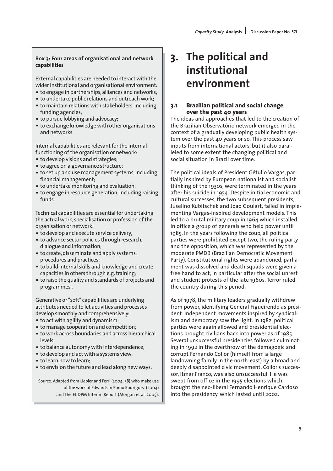#### **Box 3: Four areas of organisational and network capabilities**

External capabilities are needed to interact with the wider institutional and organisational environment:

- to engage in partnerships, alliances and networks;
- to undertake public relations and outreach work;
- to maintain relations with stakeholders, including funding agencies;
- to pursue lobbying and advocacy;
- to exchange knowledge with other organisations and networks.

Internal capabilities are relevant for the internal functioning of the organisation or network:

- to develop visions and strategies;
- to agree on a governance structure;
- to set up and use management systems, including financial management;
- to undertake monitoring and evaluation;
- to engage in resource generation, including raising funds.

Technical capabilities are essential for undertaking the actual work, specialisation or profession of the organisation or network:

- to develop and execute service delivery;
- to advance sector policies through research, dialogue and information;
- to create, disseminate and apply systems, procedures and practices;
- to build internal skills and knowledge and create capacities in others through e.g. training;
- to raise the quality and standards of projects and programmes .

Generative or "soft" capabilities are underlying attributes needed to let activities and processes develop smoothly and comprehensively:

- to act with agility and dynamism;
- to manage cooperation and competition;
- to work across boundaries and across hierarchical levels;
- to balance autonomy with interdependence;
- to develop and act with a systems view;
- to learn how to learn;
- to envision the future and lead along new ways.

Source: Adapted from Liebler and Ferri (2004: 38) who make use of the work of Edwards in Romo Rodriguez (2004) and the ECDPM Interim Report (Morgan et al. 2005).

# **3. The political and institutional environment**

### **3.1 Brazilian political and social change over the past 40 years**

The ideas and approaches that led to the creation of the Brazilian Observatório network emerged in the context of a gradually developing public health system over the past 40 years or so. This process saw inputs from international actors, but it also paralleled to some extent the changing political and social situation in Brazil over time.

The political ideals of President Gétulio Vargas, partially inspired by European nationalist and socialist thinking of the 1930s, were terminated in the years after his suicide in 1954. Despite initial economic and cultural successes, the two subsequent presidents, Juselino Kubitschek and Joao Goulart, failed in implementing Vargas-inspired development models. This led to a brutal military coup in 1964 which installed in office a group of generals who held power until 1985. In the years following the coup, all political parties were prohibited except two, the ruling party and the opposition, which was represented by the moderate PMDB (Brazilian Democratic Movement Party). Constitutional rights were abandoned, parliament was dissolved and death squads were given a free hand to act, in particular after the social unrest and student protests of the late 1960s. Terror ruled the country during this period.

As of 1978, the military leaders gradually withdrew from power, identifying General Figueirendo as president. Independent movements inspired by syndicalism and democracy saw the light. In 1982, political parties were again allowed and presidential elections brought civilians back into power as of 1985. Several unsuccessful presidencies followed culminating in 1992 in the overthrow of the demagogic and corrupt Fernando Collor (himself from a large landowning family in the north-east) by a broad and deeply disappointed civic movement. Collor's successor, Itmar Franco, was also unsuccessful. He was swept from office in the 1995 elections which brought the neo-liberal Fernando Henrique Cardoso into the presidency, which lasted until 2002.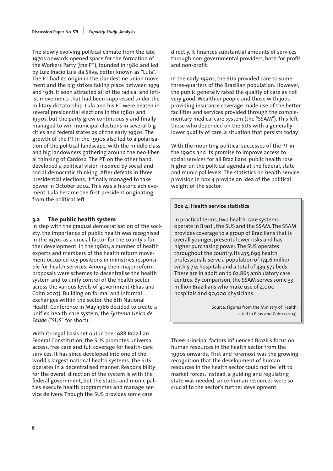The slowly evolving political climate from the late 1970s onwards opened space for the formation of the Workers Party (the PT), founded in 1980 and led by Luiz Inacio Lula da Silva, better known as "Lula". The PT had its origin in the clandestine union movement and the big strikes taking place between 1979 and 1981. It soon attracted all of the radical and leftist movements that had been suppressed under the military dictatorship. Lula and his PT were beaten in several presidential elections in the 1980s and 1990s, but the party grew continuously and finally managed to win municipal elections in several big cities and federal states as of the early 1990s. The growth of the PT in the 1990s also led to a polarisation of the political landscape, with the middle class and big landowners gathering around the neo-liberal thinking of Cardoso. The PT, on the other hand, developed a political vision inspired by social and social-democratic thinking. After defeats in three presidential elections, it finally managed to take power in October 2002. This was a historic achievement. Lula became the first president originating from the political left.

### **3.2 The public health system**

In step with the gradual democratisation of the society, the importance of public health was recognised in the 1970s as a crucial factor for the county's further development. In the 1980s, a number of health experts and members of the health reform movement occupied key positions in ministries responsible for health services. Among their major reform proposals were schemes to decentralise the health system and to unify control of the health sector across the various levels of government (Elias and Cohn 2003). Building on formal and informal exchanges within the sector, the 8th National Health Conference in May 1986 decided to create a unified health-care system, the *Systema Unico de Saúde* ("SUS" for short).

With its legal basis set out in the 1988 Brazilian Federal Constitution, the SUS promotes universal access, free care and full coverage for health-care services. It has since developed into one of the world's largest national health systems. The SUS operates in a decentralised manner. Responsibility for the overall direction of the system is with the federal government, but the states and municipalities execute health programmes and manage service delivery. Though the SUS provides some care

directly, it finances substantial amounts of services through non-governmental providers, both for-profit and non-profit.

In the early 1990s, the SUS provided care to some three-quarters of the Brazilian population. However, the public generally rated the quality of care as not very good. Wealthier people and those with jobs providing insurance coverage made use of the better facilities and services provided through the complementary medical care system (the "SSAM"). This left those who depended on the SUS with a generally lower quality of care, a situation that persists today.

With the mounting political successes of the PT in the 1990s and its promise to improve access to social services for all Brazilians, public health rose higher on the political agenda at the federal, state and municipal levels. The statistics on health service provision in box 4 provide an idea of the political weight of the sector.

### **Box 4: Health service statistics**

In practical terms, two health-care systems operate in Brazil, the SUS and the SSAM. The SSAM provides coverage to a group of Brazilians that is overall younger, presents lower risks and has higher purchasing power. The SUS operates throughout the country. Its 475,699 health professionals serve a population of 174.6 million with 5,714 hospitals and a total of 439,577 beds. These are in addition to 62,865 ambulatory care centres. By comparison, the SSAM serves some 33 million Brazilians who make use of 4,000 hospitals and 90,000 physicians.

> Source: Figures from the Ministry of Health, cited in Elias and Cohn (2003).

Three principal factors influenced Brazil's focus on human resources in the health sector from the 1990s onwards. First and foremost was the growing recognition that the development of human resources in the health sector could not be left to market forces. Instead, a guiding and regulating state was needed, since human resources were so crucial to the sector's further development.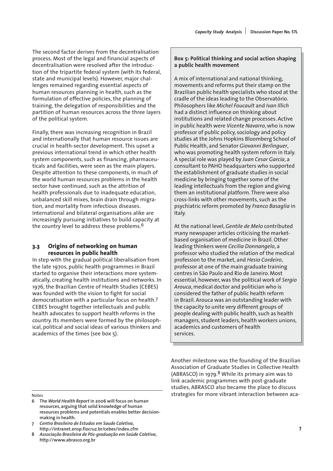The second factor derives from the decentralisation process. Most of the legal and financial aspects of decentralisation were resolved after the introduction of the tripartite federal system (with its federal, state and municipal levels). However, major challenges remained regarding essential aspects of human resources planning in health, such as the formulation of effective policies, the planning of training, the delegation of responsibilities and the partition of human resources across the three layers of the political system.

Finally, there was increasing recognition in Brazil and internationally that human resource issues are crucial in health-sector development. This upset a previous international trend in which other health system components, such as financing, pharmaceuticals and facilities, were seen as the main players. Despite attention to these components, in much of the world human resources problems in the health sector have continued, such as the attrition of health professionals due to inadequate education, unbalanced skill mixes, brain drain through migration, and mortality from infectious diseases. International and bilateral organisations alike are increasingly pursuing initiatives to build capacity at the country level to address these problems.<sup>6</sup>

### **3.3 Origins of networking on human resources in public health**

In step with the gradual political liberalisation from the late 1970s, public health programmes in Brazil started to organise their interactions more systematically, creating health institutions and networks. In 1976, the Brazilian Centre of Health Studies (CEBES) was founded with the vision to fight for social democratisation with a particular focus on health.7 CEBES brought together intellectuals and public health advocates to support health reforms in the country. Its members were formed by the philosophical, political and social ideas of various thinkers and academics of the times (see box 5).

### **Box 5: Political thinking and social action shaping a public health movement**

A mix of international and national thinking, movements and reforms put their stamp on the Brazilian public health specialists who stood at the cradle of the ideas leading to the Observatório. Philosophers like *Michel Foucault* and *Ivan Illich* had a distinct influence on thinking about institutions and related change processes. Active in public health were *Vicente Navarro*, who is now professor of public policy, sociology and policy studies at the Johns Hopkins Bloomberg School of Public Health, and Senator *Giovanni Berlinguer*, who was promoting health system reform in Italy. A special role was played by *Juan Cesar Garcia*, a consultant to PAHO headquarters who supported the establishment of graduate studies in social medicine by bringing together some of the leading intellectuals from the region and giving them an institutional platform. There were also cross-links with other movements, such as the psychiatric reform promoted by *Franco Basaglia* in Italy.

At the national level,*Gentile de Melo* contributed many newspaper articles criticising the marketbased organisation of medicine in Brazil. Other leading thinkers were *Cecilia Donnangelo*, a professor who studied the relation of the medical profession to the market, and *Hesio Cordeiro*, professor at one of the main graduate training centres in São Paulo and Rio de Janeiro. Most essential, however, was the political work of *Sergio Arouca*, medical doctor and politician who is considered the father of public health reform in Brazil. Arouca was an outstanding leader with the capacity to unite very different groups of people dealing with public health, such as health managers, student leaders, health workers unions, academics and customers of health services.

Another milestone was the founding of the Brazilian Association of Graduate Studies in Collective Health (ABRASCO) in 1979. $8$  While its primary aim was to link academic programmes with post-graduate studies, ABRASCO also became the place to discuss Notes strategies for more vibrant interaction between aca-

- **6 The** *World Health Report* **in 2006 will focus on human resources, arguing that solid knowledge of human resources problems and potentials enables better decisionmaking in health.**
- **7** *Centro Brasileiro de Estudos em Saude Coletiva***, http://intranet.ensp.fiocruz.br/cebes/index.cfm**
- **8** *Associação Brasileira de Pós-graduação em Saúde Coletiva***, http://www.abrasco.org.br**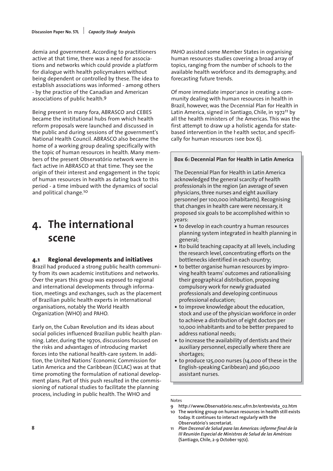demia and government. According to practitioners active at that time, there was a need for associations and networks which could provide a platform for dialogue with health policymakers without being dependent or controlled by these. The idea to establish associations was informed - among others - by the practice of the Canadian and American associations of public health.9

Being present in many fora, ABRASCO and CEBES became the institutional hubs from which health reform proposals were launched and discussed in the public and during sessions of the government's National Health Council. ABRASCO also became the home of a working group dealing specifically with the topic of human resources in health. Many members of the present Observatório network were in fact active in ABRASCO at that time. They see the origin of their interest and engagement in the topic of human resources in health as dating back to this period - a time imbued with the dynamics of social and political change.10

# **4. The international scene**

### **4.1 Regional developments and initiatives**

Brazil had produced a strong public health community from its own academic institutions and networks. Over the years this group was exposed to regional and international developments through information, meetings and exchanges, such as the placement of Brazilian public health experts in international organisations, notably the World Health Organization (WHO) and PAHO.

Early on, the Cuban Revolution and its ideas about social policies influenced Brazilian public health planning. Later, during the 1970s, discussions focused on the risks and advantages of introducing market forces into the national health-care system. In addition, the United Nations' Economic Commission for Latin America and the Caribbean (ECLAC) was at that time promoting the formulation of national development plans. Part of this push resulted in the commissioning of national studies to facilitate the planning process, including in public health. The WHO and

PAHO assisted some Member States in organising human resources studies covering a broad array of topics, ranging from the number of schools to the available health workforce and its demography, and forecasting future trends.

Of more immediate importance in creating a community dealing with human resources in health in Brazil, however, was the Decennial Plan for Health in Latin America, signed in Santiago, Chile, in 1972<sup>11</sup> by all the health ministers of the Americas. This was the first attempt to draw up a holistic agenda for statebased intervention in the health sector, and specifically for human resources (see box 6).

### **Box 6: Decennial Plan for Health in Latin America**

The Decennial Plan for Health in Latin America acknowledged the general scarcity of health professionals in the region (an average of seven physicians, three nurses and eight auxiliary personnel per 100,000 inhabitants). Recognising that changes in health care were necessary, it proposed six goals to be accomplished within 10 years:

- to develop in each country a human resources planning system integrated in health planning in general;
- Ito build teaching capacity at all levels, including the research level, concentrating efforts on the bottlenecks identified in each country;
- to better organise human resources by improving health teams' outcomes and rationalising their geographical distribution, proposing compulsory work for newly graduated professionals and developing continuous professional education;
- to improve knowledge about the education, stock and use of the physician workforce in order to achieve a distribution of eight doctors per 10,000 inhabitants and to be better prepared to address national needs;
- to increase the availability of dentists and their auxiliary personnel, especially where there are shortages;
- to produce 125,000 nurses (14,000 of these in the English-speaking Caribbean) and 360,000 assistant nurses.

#### Notes

**9 http://www.Observatório.nesc.ufrn.br/entrevista\_02.htm**

**<sup>10</sup> The working group on human resources in health still exists today. It continues to interact regularly with the Observatório's secretariat.**

**<sup>11</sup>** *Plan Decenal de Salud para las Americas: informe final de la III Reunión Especial de Ministros de Salud de las Américas* **(Santiago, Chile, 2-9 October 1972).**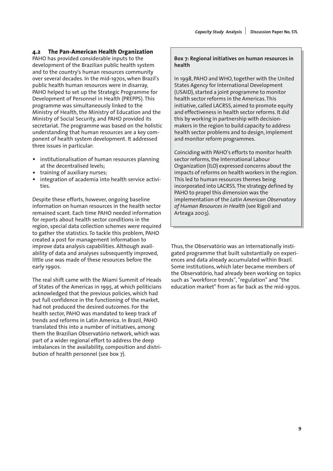#### **4.2 The Pan-American Health Organization**

PAHO has provided considerable inputs to the development of the Brazilian public health system and to the country's human resources community over several decades. In the mid-1970s, when Brazil's public health human resources were in disarray, PAHO helped to set up the Strategic Programme for Development of Personnel in Health (PREPPS). This programme was simultaneously linked to the Ministry of Health, the Ministry of Education and the Ministry of Social Security, and PAHO provided its secretariat. The programme was based on the holistic understanding that human resources are a key component of health system development. It addressed three issues in particular:

- institutionalisation of human resources planning at the decentralised levels;
- training of auxiliary nurses;
- integration of academia into health service activities.

Despite these efforts, however, ongoing baseline information on human resources in the health sector remained scant. Each time PAHO needed information for reports about health sector conditions in the region, special data collection schemes were required to gather the statistics. To tackle this problem, PAHO created a post for management information to improve data analysis capabilities. Although availability of data and analyses subsequently improved, little use was made of these resources before the early 1990s.

The real shift came with the Miami Summit of Heads of States of the Americas in 1995, at which politicians acknowledged that the previous policies, which had put full confidence in the functioning of the market, had not produced the desired outcomes. For the health sector, PAHO was mandated to keep track of trends and reforms in Latin America. In Brazil, PAHO translated this into a number of initiatives, among them the Brazilian Observatório network, which was part of a wider regional effort to address the deep imbalances in the availability, composition and distribution of health personnel (see box 7).

**Box 7: Regional initiatives on human resources in health**

In 1998, PAHO and WHO, together with the United States Agency for International Development (USAID), started a joint programme to monitor health sector reforms in the Americas. This initiative, called LACRSS, aimed to promote equity and effectiveness in health sector reforms. It did this by working in partnership with decisionmakers in the region to build capacity to address health sector problems and to design, implement and monitor reform programmes.

Coinciding with PAHO's efforts to monitor health sector reforms, the International Labour Organization (ILO) expressed concerns about the impacts of reforms on health workers in the region. This led to human resources themes being incorporated into LACRSS. The strategy defined by PAHO to propel this dimension was the implementation of the *Latin American Observatory of Human Resources in Health* (see Rigoli and Arteaga 2003).

Thus, the Observatório was an internationally instigated programme that built substantially on experiences and data already accumulated within Brazil. Some institutions, which later became members of the Observatório, had already been working on topics such as "workforce trends", "regulation" and "the education market" from as far back as the mid-1970s.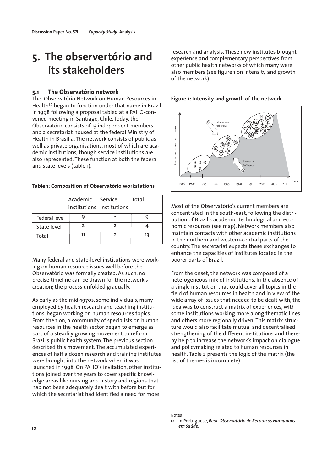# **5. The observertório and its stakeholders**

### **5.1 The Observatório network**

The Observatório Network on Human Resources in Health<sup>12</sup> began to function under that name in Brazil in 1998 following a proposal tabled at a PAHO-convened meeting in Santiago, Chile. Today, the Observatório consists of 13 independent members and a secretariat housed at the federal Ministry of Health in Brasilia. The network consists of public as well as private organisations, most of which are academic institutions, though service institutions are also represented. These function at both the federal and state levels (table 1).

#### **Table 1: Composition of Observatório workstations**

|               | Academic Service<br>institutions institutions | Total |
|---------------|-----------------------------------------------|-------|
| Federal level |                                               |       |
| State level   |                                               |       |
| Total         |                                               | 13    |

Many federal and state-level institutions were working on human resource issues well before the Observatório was formally created. As such, no precise timeline can be drawn for the network's creation; the process unfolded gradually.

As early as the mid-1970s, some individuals, many employed by health research and teaching institutions, began working on human resources topics. From then on, a community of specialists on human resources in the health sector began to emerge as part of a steadily growing movement to reform Brazil's public health system. The previous section described this movement. The accumulated experiences of half a dozen research and training institutes were brought into the network when it was launched in 1998. On PAHO's invitation, other institutions joined over the years to cover specific knowledge areas like nursing and history and regions that had not been adequately dealt with before but for which the secretariat had identified a need for more

research and analysis. These new institutes brought experience and complementary perspectives from other public health networks of which many were also members (see figure 1 on intensity and growth of the network).

### **Figure 1: Intensity and growth of the network**



Most of the Observatório's current members are concentrated in the south-east, following the distribution of Brazil's academic, technological and economic resources (see map). Network members also maintain contacts with other academic institutions in the northern and western-central parts of the country. The secretariat expects these exchanges to enhance the capacities of institutes located in the poorer parts of Brazil.

From the onset, the network was composed of a heterogeneous mix of institutions. In the absence of a single institution that could cover all topics in the field of human resources in health and in view of the wide array of issues that needed to be dealt with, the idea was to construct a matrix of experiences, with some institutions working more along thematic lines and others more regionally driven. This matrix structure would also facilitate mutual and decentralised strengthening of the different institutions and thereby help to increase the network's impact on dialogue and policymaking related to human resources in health. Table 2 presents the logic of the matrix (the list of themes is incomplete).

Notes

**<sup>12</sup> In Portuguese,** *Rede Observatório de Recoursos Humanons em Saúde***.**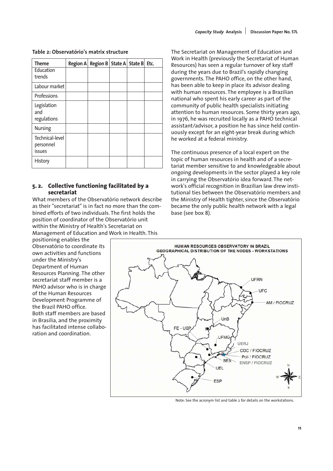| <b>Theme</b>                           | Region A Region B State A State B Etc. |  |  |
|----------------------------------------|----------------------------------------|--|--|
| Education<br>trends                    |                                        |  |  |
| Labour market                          |                                        |  |  |
| Professions                            |                                        |  |  |
| Legislation<br>and<br>regulations      |                                        |  |  |
| <b>Nursing</b>                         |                                        |  |  |
| Technical-level<br>personnel<br>issues |                                        |  |  |
| History                                |                                        |  |  |

#### **Table 2: Observatório's matrix structure**

#### **5. 2. Collective functioning facilitated by a secretariat**

What members of the Observatório network describe as their "secretariat" is in fact no more than the combined efforts of two individuals. The first holds the position of coordinator of the Observatório unit within the Ministry of Health's Secretariat on Management of Education and Work in Health. This

positioning enables the Observatório to coordinate its own activities and functions under the Ministry's Department of Human Resources Planning. The other secretariat staff member is a PAHO advisor who is in charge of the Human Resources Development Programme of the Brazil PAHO office. Both staff members are based in Brasilia, and the proximity has facilitated intense collaboration and coordination.

The Secretariat on Management of Education and Work in Health (previously the Secretariat of Human Resources) has seen a regular turnover of key staff during the years due to Brazil's rapidly changing governments. The PAHO office, on the other hand, has been able to keep in place its advisor dealing with human resources. The employee is a Brazilian national who spent his early career as part of the community of public health specialists initiating attention to human resources. Some thirty years ago, in 1976, he was recruited locally as a PAHO technical assistant/advisor, a position he has since held continuously except for an eight-year break during which he worked at a federal ministry.

The continuous presence of a local expert on the topic of human resources in health and of a secretariat member sensitive to and knowledgeable about ongoing developments in the sector played a key role in carrying the Observatório idea forward. The network's official recognition in Brazilian law drew institutional ties between the Observatório members and the Ministry of Health tighter, since the Observatório became the only public health network with a legal base (see box 8).



Note: See the acronym list and table 2 for details on the workstations.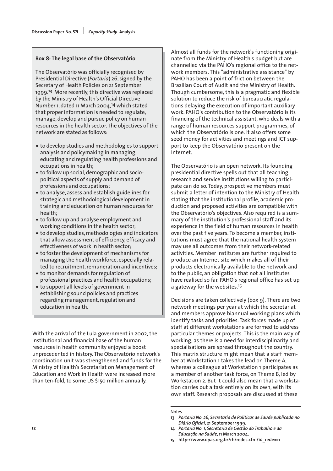#### **Box 8: The legal base of the Observatório**

The Observatório was officially recognised by Presidential Directive (*Portaria*) 26, signed by the Secretary of Health Policies on 21 September 1999.13 More recently, this directive was replaced by the Ministry of Health's Official Directive Number 1, dated 11 March 2004,14 which stated that proper information is needed to regulate, manage, develop and pursue policy on human resources in the health sector. The objectives of the network are stated as follows:

- to develop studies and methodologies to support analysis and policymaking in managing, educating and regulating health professions and occupations in health;
- to follow up social, demographic and sociopolitical aspects of supply and demand of professions and occupations;
- to analyse, assess and establish guidelines for strategic and methodological development in training and education on human resources for health;
- to follow up and analyse employment and working conditions in the health sector;
- to develop studies, methodologies and indicators that allow assessment of efficiency, efficacy and effectiveness of work in health sector;
- to foster the development of mechanisms for managing the health workforce, especially related to recruitment, remuneration and incentives;
- to monitor demands for regulation of professional practices and health occupations;
- to support all levels of government in establishing sound policies and practices regarding management, regulation and education in health.

With the arrival of the Lula government in 2002, the institutional and financial base of the human resources in health community enjoyed a boost unprecedented in history. The Observatório network's coordination unit was strengthened and funds for the Ministry of Health's Secretariat on Management of Education and Work in Health were increased more than ten-fold, to some US \$150 million annually.

Almost all funds for the network's functioning originate from the Ministry of Health's budget but are channelled via the PAHO's regional office to the network members. This "administrative assistance" by PAHO has been a point of friction between the Brazilian Court of Audit and the Ministry of Health. Though cumbersome, this is a pragmatic and flexible solution to reduce the risk of bureaucratic regulations delaying the execution of important auxiliary work. PAHO's contribution to the Observatório is its financing of the technical assistant, who deals with a range of human resources support programmes, of which the Observatório is one. It also offers some seed money for activities and meetings and ICT support to keep the Observatório present on the Internet.

The Observatório is an open network. Its founding presidential directive spells out that all teaching, research and service institutions willing to participate can do so. Today, prospective members must submit a letter of intention to the Ministry of Health stating that the institutional profile, academic production and proposed activities are compatible with the Observatório's objectives. Also required is a summary of the institution's professional staff and its experience in the field of human resources in health over the past five years. To become a member, institutions must agree that the national health system may use all outcomes from their network-related activities. Member institutes are further required to produce an Internet site which makes all of their products electronically available to the network and to the public, an obligation that not all institutes have realised so far. PAHO's regional office has set up a gateway for the websites.15

Decisions are taken collectively (box 9). There are two network meetings per year at which the secretariat and members approve biannual working plans which identify tasks and priorities. Task forces made up of staff at different workstations are formed to address particular themes or projects. This is the main way of working, as there is a need for interdisciplinarity and specialisations are spread throughout the country. This matrix structure might mean that a staff member at Workstation 1 takes the lead on Theme A, whereas a colleague at Workstation 1 participates as a member of another task force, on Theme B, led by Workstation 2. But it could also mean that a workstation carries out a task entirely on its own, with its own staff. Research proposals are discussed at these

#### Notes

- **13** *Portaria No. 26, Secretaria de Politicas de Saude publicada no Diário Oficial***, 21 September 1999.**
- **14** *Portaria No. 1, Secretaria de Gestão do Trabalho e da Educação na Saúde***, 11 March 2004.**
- **15 http://www.opas.org.br/rh/redes.cfm?id\_rede=11**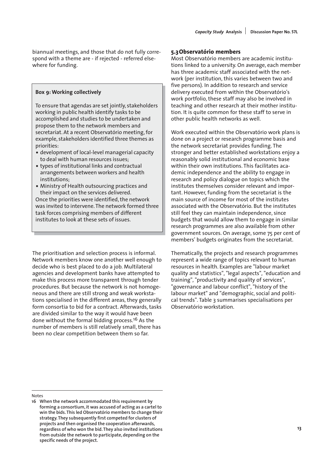biannual meetings, and those that do not fully correspond with a theme are - if rejected - referred elsewhere for funding.

#### **Box 9: Working collectively**

To ensure that agendas are set jointly, stakeholders working in public health identify tasks to be accomplished and studies to be undertaken and propose them to the network members and secretariat. At a recent Observatório meeting, for example, stakeholders identified three themes as priorities:

- development of local-level managerial capacity to deal with human resources issues;
- types of institutional links and contractual arrangements between workers and health institutions;
- Ministry of Health outsourcing practices and their impact on the services delivered. Once the priorities were identified, the network was invited to intervene. The network formed three task forces comprising members of different institutes to look at these sets of issues.

The prioritisation and selection process is informal. Network members know one another well enough to decide who is best placed to do a job. Multilateral agencies and development banks have attempted to make this process more transparent through tender procedures. But because the network is not homogeneous and there are still strong and weak workstations specialised in the different areas, they generally form consortia to bid for a contract. Afterwards, tasks are divided similar to the way it would have been done without the formal bidding process.16 As the number of members is still relatively small, there has been no clear competition between them so far.

#### **5.3Observatório members**

Most Observatório members are academic institutions linked to a university. On average, each member has three academic staff associated with the network (per institution, this varies between two and five persons). In addition to research and service delivery executed from within the Observatório's work portfolio, these staff may also be involved in teaching and other research at their mother institution. It is quite common for these staff to serve in other public health networks as well.

Work executed within the Observatório work plans is done on a project or research programme basis and the network secretariat provides funding. The stronger and better established workstations enjoy a reasonably solid institutional and economic base within their own institutions. This facilitates academic independence and the ability to engage in research and policy dialogue on topics which the institutes themselves consider relevant and important. However, funding from the secretariat is the main source of income for most of the institutes associated with the Observatório. But the institutes still feel they can maintain independence, since budgets that would allow them to engage in similar research programmes are also available from other government sources. On average, some 75 per cent of members' budgets originates from the secretariat.

Thematically, the projects and research programmes represent a wide range of topics relevant to human resources in health. Examples are "labour market quality and statistics", "legal aspects", "education and training", "productivity and quality of services", "governance and labour conflict", "history of the labour market" and "demographic, social and political trends". Table 3 summarises specialisations per Observatório workstation.

#### Notes

**<sup>16</sup> When the network accommodated this requirement by forming a consortium, it was accused of acting as a cartel to win the bids. This led Observatório members to change their strategy. They subsequently first competed for clusters of projects and then organised the cooperation afterwards, regardless of who won the bid. They also invited institutions from outside the network to participate, depending on the specific needs of the project.**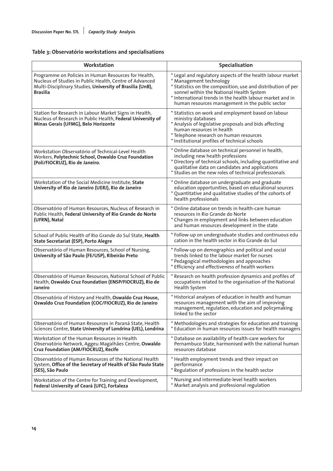### **Table 3: Observatório workstations and specialisations**

| Workstation                                                                                                                                                                              | Specialisation                                                                                                                                                                                                                                                                                                    |
|------------------------------------------------------------------------------------------------------------------------------------------------------------------------------------------|-------------------------------------------------------------------------------------------------------------------------------------------------------------------------------------------------------------------------------------------------------------------------------------------------------------------|
| Programme on Policies in Human Resources for Health,<br>Nucleus of Studies in Public Health, Centre of Advanced<br>Multi-Disciplinary Studies, University of Brasilia (UnB),<br>Brasilia | * Legal and regulatory aspects of the health labour market<br>* Management technology<br>* Statistics on the composition, use and distribution of per<br>sonnel within the National Health System<br>* International trends in the health labour market and in<br>human resources management in the public sector |
| Station for Research in Labour Market Signs in Health,<br>Nucleus of Research in Public Health, Federal University of<br>Minas Gerais (UFMG), Belo Horizonte                             | * Statistics on work and employment based on labour<br>ministry databases<br>* Analysis of legislative proposals and bids affecting<br>human resources in health<br>* Telephone research on human resources<br>* Institutional profiles of technical schools                                                      |
| Workstation Observatório of Technical-Level Health<br>Workers, Polytechnic School, Oswaldo Cruz Foundation<br>(Poli/FIOCRUZ), Rio de Janeiro.                                            | * Online database on technical personnel in health,<br>including new health professions<br>* Directory of technical schools, including quantitative and<br>qualitative data on candidates and applications<br>* Studies on the new roles of technical professionals                                               |
| Workstation of the Social Medicine Institute, State<br>University of Rio de Janeiro (UERJ), Rio de Janeiro                                                                               | * Online database on undergraduate and graduate<br>education opportunities, based on educational sources<br>* Quantitative and qualitative studies of the cohorts of<br>health professionals                                                                                                                      |
| Observatório of Human Resources, Nucleus of Research in<br>Public Health, Federal University of Rio Grande do Norte<br>(UFRN), Natal                                                     | * Online database on trends in health-care human<br>resources in Rio Grande do Norte<br>* Changes in employment and links between education<br>and human resources development in the state                                                                                                                       |
| School of Public Health of Rio Grande do Sul State, Health<br><b>State Secretariat (ESP), Porto Alegre</b>                                                                               | * Follow-up on undergraduate studies and continuous edu<br>cation in the health sector in Rio Grande do Sul                                                                                                                                                                                                       |
| Observatório of Human Resources, School of Nursing,<br>University of São Paulo (FE/USP), Ribeirão Preto                                                                                  | * Follow-up on demographics and political and social<br>trends linked to the labour market for nurses<br>* Pedagogical methodologies and approaches<br>* Efficiency and effectiveness of health workers                                                                                                           |
| Observatório of Human Resources, National School of Public<br>Health, Oswaldo Cruz Foundation (ENSP/FIOCRUZ), Rio de<br>Janeiro                                                          | * Research on health profession dynamics and profiles of<br>occupations related to the organisation of the National<br>Health System                                                                                                                                                                              |
| Observatório of History and Health, Oswaldo Cruz House,<br>Oswaldo Cruz Foundation (COC/FIOCRUZ), Rio de Janeiro                                                                         | * Historical analyses of education in health and human<br>resources management with the aim of improving<br>management, regulation, education and policymaking<br>linked to the sector                                                                                                                            |
| Observatório of Human Resources in Paraná State, Health<br>Sciences Centre, State University of Londrina (UEL), Londrina                                                                 | * Methodologies and strategies for education and training<br>* Education in human resources issues for health managers                                                                                                                                                                                            |
| Workstation of the Human Resources in Health<br>Observatório Network, Aggeu Magalhães Centre, Oswaldo<br>Cruz Foundation (AM/FIOCRUZ), Recife                                            | * Database on availability of health-care workers for<br>Pernambuco State, harmonised with the national human<br>resources database                                                                                                                                                                               |
| Observatório of Human Resources of the National Health<br>System, Office of the Secretary of Health of São Paulo State<br>(SES), São Paulo                                               | * Health employment trends and their impact on<br>performance<br>* Regulation of professions in the health sector                                                                                                                                                                                                 |
| Workstation of the Centre for Training and Development,<br>Federal University of Ceará (UFC), Fortaleza                                                                                  | * Nursing and intermediate-level health workers<br>* Market analysis and professional regulation                                                                                                                                                                                                                  |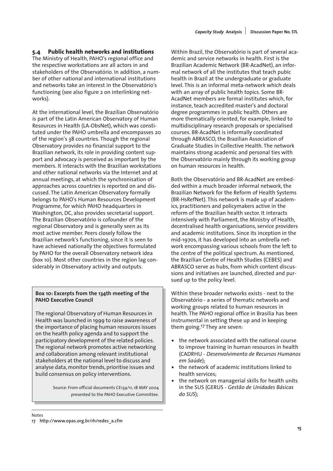### **5.4 Public health networks and institutions**

The Ministry of Health, PAHO's regional office and the respective workstations are all actors in and stakeholders of the Observatório. In addition, a number of other national and international institutions and networks take an interest in the Observatório's functioning (see also figure 2 on interlinking networks).

At the international level, the Brazilian Observatório is part of the Latin American Observatory of Human Resources in Health (LA-ObsNet), which was constituted under the PAHO umbrella and encompasses 20 of the region's 38 countries. Though the regional Observatory provides no financial support to the Brazilian network, its role in providing content support and advocacy is perceived as important by the members. It interacts with the Brazilian workstations and other national networks via the Internet and at annual meetings, at which the synchronisation of approaches across countries is reported on and discussed. The Latin American Observatory formally belongs to PAHO's Human Resources Development Programme, for which PAHO headquarters in Washington, DC, also provides secretarial support. The Brazilian Observatório is cofounder of the regional Observatory and is generally seen as its most active member. Peers closely follow the Brazilian network's functioning, since it is seen to have achieved nationally the objectives formulated by PAHO for the overall Observatory network idea (box 10). Most other countries in the region lag considerably in Observatory activity and outputs.

### **Box 10: Excerpts from the 134th meeting of the PAHO Executive Council**

The regional Observatory of Human Resources in Health was launched in 1999 to raise awareness of the importance of placing human resources issues on the health policy agenda and to support the participatory development of the related policies. The regional network promotes active networking and collaboration among relevant institutional stakeholders at the national level to discuss and analyse data, monitor trends, prioritise issues and build consensus on policy interventions.

> Source: From official documents CE134/11, 18 MAY 2004 presented to the PAHO Executive Committee.

Within Brazil, the Observatório is part of several academic and service networks in health. First is the Brazilian Academic Network (BR-AcadNet), an informal network of all the institutes that teach pubic health in Brazil at the undergraduate or graduate level. This is an informal meta-network which deals with an array of public health topics. Some BR-AcadNet members are formal institutes which, for instance, teach accredited master's and doctoral degree programmes in public health. Others are more thematically oriented, for example, linked to multidisciplinary research proposals or specialised courses. BR-AcadNet is informally coordinated through ABRASCO, the Brazilian Association of Graduate Studies in Collective Health. The network maintains strong academic and personal ties with the Observatório mainly through its working group on human resources in health.

Both the Observatório and BR-AcadNet are embedded within a much broader informal network, the Brazilian Network for the Reform of Health Systems (BR-HsRefNet). This network is made up of academics, practitioners and policymakers active in the reform of the Brazilian health sector. It interacts intensively with Parliament, the Ministry of Health, decentralised health organisations, service providers and academic institutions. Since its inception in the mid-1970s, it has developed into an umbrella network encompassing various schools from the left to the centre of the political spectrum. As mentioned, the Brazilian Centre of Health Studies (CEBES) and ABRASCO serve as hubs, from which content discussions and initiatives are launched, directed and pursued up to the policy level.

Within these broader networks exists - next to the Observatório - a series of thematic networks and working groups related to human resources in health. The PAHO regional office in Brasilia has been instrumental in setting these up and in keeping them going.17 They are seven:

- the network associated with the national course to improve training in human resources in health (CADRHU - *Desenvolvimento de Recursos Humanos em Saúde*);
- the network of academic institutions linked to health services;
- the network on managerial skills for health units in the SUS (GERUS - *Gestão de Unidades Básicas do SUS*);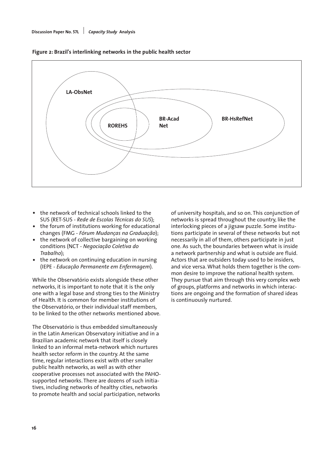

**Figure 2: Brazil's interlinking networks in the public health sector**

- the network of technical schools linked to the SUS (RET-SUS - *Rede de Escolas Técnicas do SUS*);
- the forum of institutions working for educational changes (FMG - *Fórum Mudanças na Graduação*);
- the network of collective bargaining on working conditions (NCT - *Negociação Coletiva do Trabalho*);
- the network on continuing education in nursing (IEPE - *Educação Permanente em Enfermagem*).

While the Observatório exists alongside these other networks, it is important to note that it is the only one with a legal base and strong ties to the Ministry of Health. It is common for member institutions of the Observatório, or their individual staff members, to be linked to the other networks mentioned above.

The Observatório is thus embedded simultaneously in the Latin American Observatory initiative and in a Brazilian academic network that itself is closely linked to an informal meta-network which nurtures health sector reform in the country. At the same time, regular interactions exist with other smaller public health networks, as well as with other cooperative processes not associated with the PAHOsupported networks. There are dozens of such initiatives, including networks of healthy cities, networks to promote health and social participation, networks

of university hospitals, and so on. This conjunction of networks is spread throughout the country, like the interlocking pieces of a jigsaw puzzle. Some institutions participate in several of these networks but not necessarily in all of them, others participate in just one. As such, the boundaries between what is inside a network partnership and what is outside are fluid. Actors that are outsiders today used to be insiders, and vice versa. What holds them together is the common desire to improve the national health system. They pursue that aim through this very complex web of groups, platforms and networks in which interactions are ongoing and the formation of shared ideas is continuously nurtured.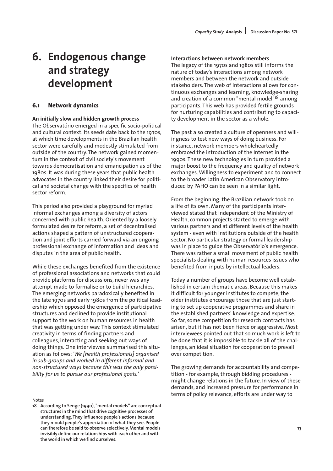# **6. Endogenous change and strategy development**

### **6.1 Network dynamics**

#### **An initially slow and hidden growth process**

The Observatório emerged in a specific socio-political and cultural context. Its seeds date back to the 1970s, at which time developments in the Brazilian health sector were carefully and modestly stimulated from outside of the country. The network gained momentum in the context of civil society's movement towards democratisation and emancipation as of the 1980s. It was during these years that public health advocates in the country linked their desire for political and societal change with the specifics of health sector reform.

This period also provided a playground for myriad informal exchanges among a diversity of actors concerned with public health. Oriented by a loosely formulated desire for reform, a set of decentralised actions shaped a pattern of unstructured cooperation and joint efforts carried forward via an ongoing professional exchange of information and ideas and disputes in the area of public health.

While these exchanges benefited from the existence of professional associations and networks that could provide platforms for discussions, never was any attempt made to formalise or to build hierarchies. The emerging networks paradoxically benefited in the late 1970s and early 1980s from the political leadership which opposed the emergence of participative structures and declined to provide institutional support to the work on human resources in health that was getting under way. This context stimulated creativity in terms of finding partners and colleagues, interacting and seeking out ways of doing things. One interviewee summarised this situation as follows: *'We [health professionals] organised in sub-groups and worked in different informal and non-structured ways because this was the only possibility for us to pursue our professional goals.'* 

Notes

#### **Interactions between network members**

The legacy of the 1970s and 1980s still informs the nature of today's interactions among network members and between the network and outside stakeholders. The web of interactions allows for continuous exchanges and learning, knowledge-sharing and creation of a common "mental model"18 among participants. This web has provided fertile grounds for nurturing capabilities and contributing to capacity development in the sector as a whole.

The past also created a culture of openness and willingness to test new ways of doing business. For instance, network members wholeheartedly embraced the introduction of the Internet in the 1990s. These new technologies in turn provided a major boost to the frequency and quality of network exchanges. Willingness to experiment and to connect to the broader Latin American Observatory introduced by PAHO can be seen in a similar light.

From the beginning, the Brazilian network took on a life of its own. Many of the participants interviewed stated that independent of the Ministry of Health, common projects started to emerge with various partners and at different levels of the health system - even with institutions outside of the health sector. No particular strategy or formal leadership was in place to guide the Observatório's emergence. There was rather a small movement of public health specialists dealing with human resources issues who benefited from inputs by intellectual leaders.

Today a number of groups have become well established in certain thematic areas. Because this makes it difficult for younger institutes to compete, the older institutes encourage those that are just starting to set up cooperative programmes and share in the established partners' knowledge and expertise. So far, some competition for research contracts has arisen, but it has not been fierce or aggressive. Most interviewees pointed out that so much work is left to be done that it is impossible to tackle all of the challenges, an ideal situation for cooperation to prevail over competition.

The growing demands for accountability and competition - for example, through bidding procedures might change relations in the future. In view of these demands, and increased pressure for performance in terms of policy relevance, efforts are under way to

**<sup>18</sup> According to Senge (1990), "mental models" are conceptual structures in the mind that drive cognitive processes of understanding. They influence people's actions because they mould people's appreciation of what they see. People can therefore be said to observe selectively. Mental models invisibly define our relationships with each other and with the world in which we find ourselves.**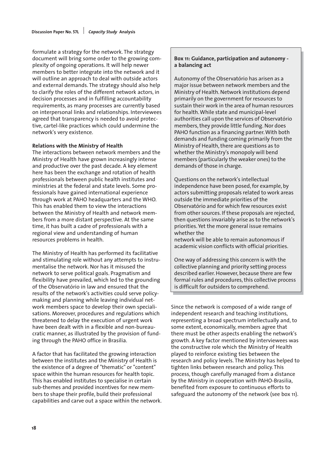formulate a strategy for the network. The strategy document will bring some order to the growing complexity of ongoing operations. It will help newer members to better integrate into the network and it will outline an approach to deal with outside actors and external demands. The strategy should also help to clarify the roles of the different network actors, in decision processes and in fulfilling accountability requirements, as many processes are currently based on interpersonal links and relationships. Interviewees agreed that transparency is needed to avoid protective, cartel-like practices which could undermine the network's very existence.

#### **Relations with the Ministry of Health**

The interactions between network members and the Ministry of Health have grown increasingly intense and productive over the past decade. A key element here has been the exchange and rotation of health professionals between public health institutes and ministries at the federal and state levels. Some professionals have gained international experience through work at PAHO headquarters and the WHO. This has enabled them to view the interactions between the Ministry of Health and network members from a more distant perspective. At the same time, it has built a cadre of professionals with a regional view and understanding of human resources problems in health.

The Ministry of Health has performed its facilitative and stimulating role without any attempts to instrumentalise the network. Nor has it misused the network to serve political goals. Pragmatism and flexibility have prevailed, which led to the grounding of the Observatório in law and ensured that the results of the network's activities could serve policymaking and planning while leaving individual network members space to develop their own specialisations. Moreover, procedures and regulations which threatened to delay the execution of urgent work have been dealt with in a flexible and non-bureaucratic manner, as illustrated by the provision of funding through the PAHO office in Brasilia.

A factor that has facilitated the growing interaction between the institutes and the Ministry of Health is the existence of a degree of "thematic" or "content" space within the human resources for health topic. This has enabled institutes to specialise in certain sub-themes and provided incentives for new members to shape their profile, build their professional capabilities and carve out a space within the network.

#### **Box 11: Guidance, participation and autonomy a balancing act**

Autonomy of the Observatório has arisen as a major issue between network members and the Ministry of Health. Network institutions depend primarily on the government for resources to sustain their work in the area of human resources for health. While state and municipal-level authorities call upon the services of Observatório members, they provide little funding. Nor does PAHO function as a financing partner. With both demands and funding coming primarily from the Ministry of Health, there are questions as to whether the Ministry's monopoly will bend members (particularly the weaker ones) to the demands of those in charge.

Questions on the network's intellectual independence have been posed, for example, by actors submitting proposals related to work areas outside the immediate priorities of the Observatório and for which few resources exist from other sources. If these proposals are rejected, then questions invariably arise as to the network's priorities. Yet the more general issue remains whether the

network will be able to remain autonomous if academic vision conflicts with official priorities.

One way of addressing this concern is with the collective planning and priority setting process described earlier. However, because there are few formal rules and procedures, this collective process is difficult for outsiders to comprehend.

Since the network is composed of a wide range of independent research and teaching institutions, representing a broad spectrum intellectually and, to some extent, economically, members agree that there must be other aspects enabling the network's growth. A key factor mentioned by interviewees was the constructive role which the Ministry of Health played to reinforce existing ties between the research and policy levels. The Ministry has helped to tighten links between research and policy. This process, though carefully managed from a distance by the Ministry in cooperation with PAHO-Brasilia, benefited from exposure to continuous efforts to safeguard the autonomy of the network (see box 11).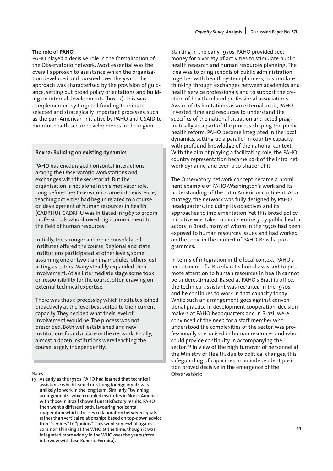#### **The role of PAHO**

PAHO played a decisive role in the formalisation of the Observatório network. Most essential was the overall approach to assistance which the organisation developed and pursued over the years. The approach was characterised by the provision of guidance, setting out broad policy orientations and building on internal developments (box 12). This was complemented by targeted funding to initiate selected and strategically important processes, such as the pan-American initiative by PAHO and USAID to monitor health sector developments in the region.

#### **Box 12: Building on existing dynamics**

PAHO has encouraged horizontal interactions among the Observatório workstations and exchanges with the secretariat. But the organisation is not alone in this motivator role. Long before the Observatório came into existence, teaching activities had begun related to a course on development of human resources in health (CADRHU). CADRHU was initiated in 1967 to groom professionals who showed high commitment to the field of human resources.

Initially, the stronger and more consolidated institutes offered the course. Regional and state institutions participated at other levels, some assuming one or two training modules, others just acting as tutors. Many steadily expanded their involvement. At an intermediate stage some took on responsibility for the course, often drawing on external technical expertise.

There was thus a process by which institutes joined proactively at the level best suited to their current capacity. They decided what their level of involvement would be. The process was not prescribed. Both well established and new institutions found a place in the network. Finally, almost a dozen institutions were teaching the course largely independently.

**19 As early as the 1970s, PAHO had learned that technical assistance which leaned on strong foreign inputs was unlikely to work in the long term. Similarly, "twinning arrangements" which coupled institutes in North America with those in Brazil showed unsatisfactory results. PAHO then went a different path, favouring horizontal cooperation which stresses collaboration between equals rather than vertical relationships based on top-down advice from "seniors" to "juniors". This went somewhat against common thinking at the WHO at the time, though it was integrated more widely in the WHO over the years (from interview with José Roberto Ferreira).**

Starting in the early 1970s, PAHO provided seed money for a variety of activities to stimulate public health research and human resources planning. The idea was to bring schools of public administration together with health system planners, to stimulate thinking through exchanges between academics and health service professionals and to support the creation of health-related professional associations. Aware of its limitations as an external actor, PAHO invested time and resources to understand the specifics of the national situation and acted pragmatically as a part of the process shaping the public health reform. PAHO became integrated in the local dynamics, setting up a parallel in-country capacity with profound knowledge of the national context. With the aim of playing a facilitating role, the PAHO country representation became part of the intra-network dynamic, and even a co-shaper of it.

The Observatory network concept became a prominent example of PAHO-Washington's work and its understanding of the Latin American continent. As a strategy, the network was fully designed by PAHO headquarters, including its objectives and its approaches to implementation. Yet this broad policy initiative was taken up in its entirety by public health actors in Brazil, many of whom in the 1970s had been exposed to human resources issues and had worked on the topic in the context of PAHO-Brasilia programmes.

In terms of integration in the local context, PAHO's recruitment of a Brazilian technical assistant to promote attention to human resources in health cannot be underestimated. Based at PAHO's Brasilia office, the technical assistant was recruited in the 1970s, and he continues to work in that capacity today. While such an arrangement goes against conventional practice in development cooperation, decision makers at PAHO headquarters and in Brazil were convinced of the need for a staff member who understood the complexities of the sector, was professionally specialised in human resources and who could provide continuity in accompanying the sector.19 In view of the high turnover of personnel at the Ministry of Health, due to political changes, this safeguarding of capacities in an independent position proved decisive in the emergence of the Notes Observatório.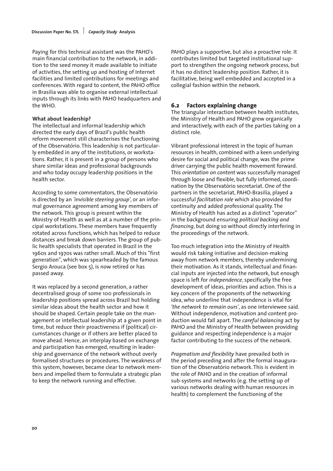Paying for this technical assistant was the PAHO's main financial contribution to the network, in addition to the seed money it made available to initiate of activities, the setting up and hosting of Internet facilities and limited contributions for meetings and conferences. With regard to content, the PAHO office in Brasilia was able to organise external intellectual inputs through its links with PAHO headquarters and the WHO.

#### **What about leadership?**

The intellectual and informal leadership which directed the early days of Brazil's public health reform movement still characterises the functioning of the Observatório. This leadership is not particularly embedded in any of the institutions, or workstations. Rather, it is present in a group of persons who share similar ideas and professional backgrounds and who today occupy leadership positions in the health sector.

According to some commentators, the Observatório is directed by an *'invisible steering group'*, or an informal governance agreement among key members of the network. This group is present within the Ministry of Health as well as at a number of the principal workstations. These members have frequently rotated across functions, which has helped to reduce distances and break down barriers. The group of public health specialists that operated in Brazil in the 1960s and 1970s was rather small. Much of this "first generation", which was spearheaded by the famous Sergio Arouca (see box 5), is now retired or has passed away.

It was replaced by a second generation, a rather decentralised group of some 100 professionals in leadership positions spread across Brazil but holding similar ideas about the health sector and how it should be shaped. Certain people take on the management or intellectual leadership at a given point in time, but reduce their proactiveness if (political) circumstances change or if others are better placed to move ahead. Hence, an interplay based on exchange and participation has emerged, resulting in leadership and governance of the network without overly formalised structures or procedures. The weakness of this system, however, became clear to network members and impelled them to formulate a strategic plan to keep the network running and effective.

PAHO plays a supportive, but also a proactive role. It contributes limited but targeted institutional support to strengthen the ongoing network process, but it has no distinct leadership position. Rather, it is facilitative, being well embedded and accepted in a collegial fashion within the network.

#### **6.2 Factors explaining change**

The triangular interaction between health institutes, the Ministry of Health and PAHO grew organically and interactively, with each of the parties taking on a distinct role.

Vibrant professional interest in the topic of human resources in health, combined with a keen underlying desire for social and political change, was the prime driver carrying the public health movement forward. This *orientation on content* was successfully managed through loose and flexible, but fully informed, coordination by the Observatório secretariat. One of the partners in the secretariat, PAHO-Brasilia, played a successful *facilitation role* which also provided for continuity and added professional quality. The Ministry of Health has acted as a distinct "operator" in the background ensuring *political backing and financing*, but doing so without directly interfering in the proceedings of the network.

Too much integration into the Ministry of Health would risk taking initiative and decision-making away from network members, thereby undermining their motivation. As it stands, intellectual and financial inputs are injected into the network, but enough space is left for *independence*, specifically the free development of ideas, priorities and action. This is a key concern of the proponents of the networking idea, who underline that independence is vital for *'the network to remain ours'*, as one interviewee said. Without independence, motivation and content production would fall apart. The *careful balancing* act by PAHO and the Ministry of Health between providing guidance and respecting independence is a major factor contributing to the success of the network.

*Pragmatism and flexibility* have prevailed both in the period preceding and after the formal inauguration of the Observatório network. This is evident in the role of PAHO and in the creation of informal sub-systems and networks (e.g. the setting up of various networks dealing with human resources in health) to complement the functioning of the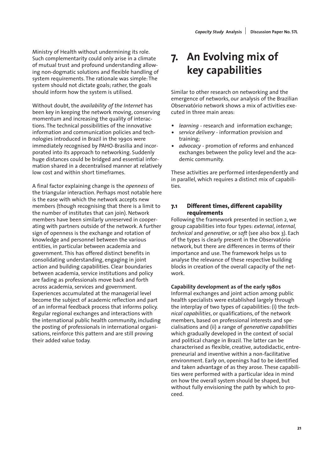Ministry of Health without undermining its role. Such complementarity could only arise in a climate of mutual trust and profound understanding allowing non-dogmatic solutions and flexible handling of system requirements. The rationale was simple: The system should not dictate goals; rather, the goals should inform how the system is utilised.

Without doubt, the *availability of the Internet* has been key in keeping the network moving, conserving momentum and increasing the quality of interactions. The technical possibilities of the innovative information and communication policies and technologies introduced in Brazil in the 1990s were immediately recognised by PAHO-Brasilia and incorporated into its approach to networking. Suddenly huge distances could be bridged and essential information shared in a decentralised manner at relatively low cost and within short timeframes.

A final factor explaining change is the *openness* of the triangular interaction. Perhaps most notable here is the ease with which the network accepts new members (though recognising that there is a limit to the number of institutes that can join). Network members have been similarly unreserved in cooperating with partners outside of the network. A further sign of openness is the exchange and rotation of knowledge and personnel between the various entities, in particular between academia and government. This has offered distinct benefits in consolidating understanding, engaging in joint action and building capabilities. Clear boundaries between academia, service institutions and policy are fading as professionals move back and forth across academia, services and government. Experiences accumulated at the managerial level become the subject of academic reflection and part of an informal feedback process that informs policy. Regular regional exchanges and interactions with the international public health community, including the posting of professionals in international organisations, reinforce this pattern and are still proving their added value today.

# **7. An Evolving mix of key capabilities**

Similar to other research on networking and the emergence of networks, our analysis of the Brazilian Observatório network shows a mix of activities executed in three main areas:

- *learning* research and information exchange;
- *service delivery* information provision and training;
- *advocacy* promotion of reforms and enhanced exchanges between the policy level and the academic community.

These activities are performed interdependently and in parallel, which requires a distinct mix of capabilities.

### **7.1 Different times, different capability requirements**

Following the framework presented in section 2, we group capabilities into four types: *external, internal, technical* and *generative*, or *soft* (see also box 3). Each of the types is clearly present in the Observatório network, but there are differences in terms of their importance and use. The framework helps us to analyse the relevance of these respective building blocks in creation of the overall capacity of the network.

**Capability development as of the early 1980s** Informal exchanges and joint action among public health specialists were established largely through the interplay of two types of capabilities: (i) the *technical capabilities*, or qualifications, of the network members, based on professional interests and specialisations and (ii) a range of *generative capabilities* which gradually developed in the context of social and political change in Brazil. The latter can be characterised as flexible, creative, autodidactic, entrepreneurial and inventive within a non-facilitative environment. Early on, openings had to be identified and taken advantage of as they arose. These capabilities were performed with a particular idea in mind on how the overall system should be shaped, but without fully envisioning the path by which to proceed.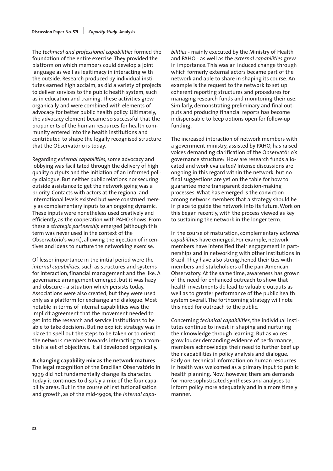The *technical and professional capabilities* formed the foundation of the entire exercise. They provided the platform on which members could develop a joint language as well as legitimacy in interacting with the outside. Research produced by individual institutes earned high acclaim, as did a variety of projects to deliver services to the public health system, such as in education and training. These activities grew organically and were combined with elements of advocacy for better public health policy. Ultimately, the advocacy element became so successful that the proponents of the human resources for health community entered into the health institutions and contributed to shape the legally recognised structure that the Observatório is today.

Regarding *external capabilities*, some advocacy and lobbying was facilitated through the delivery of high quality outputs and the initiation of an informed policy dialogue. But neither public relations nor securing outside assistance to get the network going was a priority. Contacts with actors at the regional and international levels existed but were construed merely as complementary inputs to an ongoing dynamic. These inputs were nonetheless used creatively and efficiently, as the cooperation with PAHO shows. From these a *strategic partnership* emerged (although this term was never used in the context of the Observatório's work), allowing the injection of incentives and ideas to nurture the networking exercise.

Of lesser importance in the initial period were the *internal capabilities*, such as structures and systems for interaction, financial management and the like. A governance arrangement emerged, but it was hazy and obscure - a situation which persists today. Associations were also created, but they were used only as a platform for exchange and dialogue. Most notable in terms of internal capabilities was the implicit agreement that the movement needed to get into the research and service institutions to be able to take decisions. But no explicit strategy was in place to spell out the steps to be taken or to orient the network members towards interacting to accomplish a set of objectives. It all developed organically.

**A changing capability mix as the network matures** The legal recognition of the Brazilian Observatório in 1999 did not fundamentally change its character. Today it continues to display a mix of the four capability areas. But in the course of institutionalisation and growth, as of the mid-1990s, the *internal capa-* *bilities* - mainly executed by the Ministry of Health and PAHO - as well as the *external capabilities* grew in importance. This was an induced change through which formerly external actors became part of the network and able to share in shaping its course. An example is the request to the network to set up coherent reporting structures and procedures for managing research funds and monitoring their use. Similarly, demonstrating preliminary and final outputs and producing financial reports has become indispensable to keep options open for follow-up funding.

The increased interaction of network members with a government ministry, assisted by PAHO, has raised voices demanding clarification of the Observatório's governance structure: How are research funds allocated and work evaluated? Intense discussions are ongoing in this regard within the network, but no final suggestions are yet on the table for how to guarantee more transparent decision-making processes. What has emerged is the conviction among network members that a strategy should be in place to guide the network into its future. Work on this began recently, with the process viewed as key to sustaining the network in the longer term.

In the course of maturation, complementary *external capabilities* have emerged. For example, network members have intensified their engagement in partnerships and in networking with other institutions in Brazil. They have also strengthened their ties with members and stakeholders of the pan-American Observatory. At the same time, awareness has grown of the need for enhanced outreach to show that health investments do lead to valuable outputs as well as to greater performance of the public health system overall. The forthcoming strategy will note this need for outreach to the public.

Concerning *technical capabilities*, the individual institutes continue to invest in shaping and nurturing their knowledge through learning. But as voices grow louder demanding evidence of performance, members acknowledge their need to further beef up their capabilities in policy analysis and dialogue. Early on, technical information on human resources in health was welcomed as a primary input to public health planning. Now, however, there are demands for more sophisticated syntheses and analyses to inform policy more adequately and in a more timely manner.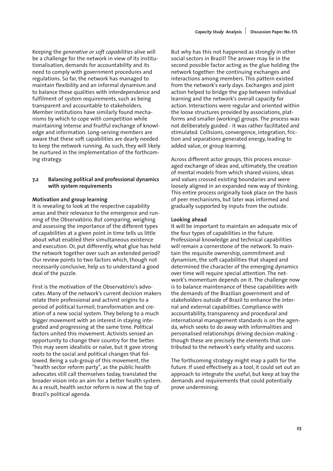Keeping the *generative or soft capabilities* alive will be a challenge for the network in view of its institutionalisation, demands for accountability and its need to comply with government procedures and regulations. So far, the network has managed to maintain flexibility and an informal dynamism and to balance these qualities with interdependence and fulfilment of system requirements, such as being transparent and accountable to stakeholders. Member institutions have similarly found mechanisms by which to cope with competition while maintaining intense and fruitful exchange of knowledge and information. Long-serving members are aware that these soft capabilities are dearly needed to keep the network running. As such, they will likely be nurtured in the implementation of the forthcoming strategy.

#### **7.2 Balancing political and professional dynamics with system requirements**

#### **Motivation and group learning**

It is revealing to look at the respective capability areas and their relevance to the emergence and running of the Observatório. But comparing, weighing and assessing the importance of the different types of capabilities at a given point in time tells us little about what enabled their simultaneous existence and execution. Or, put differently, what glue has held the network together over such an extended period? Our review points to two factors which, though not necessarily conclusive, help us to understand a good deal of the puzzle.

First is the motivation of the Observatório's advocates. Many of the network's current decision makers relate their professional and activist origins to a period of political turmoil, transformation and creation of a new social system. They belong to a much bigger movement with an interest in staying integrated and progressing at the same time. Political factors united this movement. Activists sensed an opportunity to change their country for the better. This may seem idealistic or naïve, but it gave strong roots to the social and political changes that followed. Being a sub-group of this movement, the "health sector reform party", as the public health advocates still call themselves today, translated the broader vision into an aim for a better health system. As a result, health sector reform is now at the top of Brazil's political agenda.

But why has this not happened as strongly in other social sectors in Brazil? The answer may lie in the second possible factor acting as the glue holding the network together: the continuing exchanges and interactions among members. This pattern existed from the network's early days. Exchanges and joint action helped to bridge the gap between individual learning and the network's overall capacity for action. Interactions were regular and oriented within the loose structures provided by associations, platforms and smaller (working) groups. The process was not deliberately guided - it was rather facilitated and stimulated. Collisions, convergence, integration, friction and separations generated energy, leading to added value, or group learning.

Across different actor groups, this process encouraged exchange of ideas and, ultimately, the creation of mental models from which shared visions, ideas and values crossed existing boundaries and were loosely aligned in an expanded new way of thinking. This entire process originally took place on the basis of peer mechanisms, but later was informed and gradually supported by inputs from the outside.

#### **Looking ahead**

It will be important to maintain an adequate mix of the four types of capabilities in the future. Professional knowledge and technical capabilities will remain a cornerstone of the network. To maintain the requisite ownership, commitment and dynamism, the soft capabilities that shaped and determined the character of the emerging dynamics over time will require special attention. The network's momentum depends on it. The challenge now is to balance maintenance of these capabilities with the demands of the Brazilian government and of stakeholders outside of Brazil to enhance the internal and external capabilities. Compliance with accountability, transparency and procedural and international management standards is on the agenda, which seeks to do away with informalities and personalised relationships driving decision-making though these are precisely the elements that contributed to the network's early vitality and success.

The forthcoming strategy might map a path for the future. If used effectively as a tool, it could set out an approach to integrate the useful, but keep at bay the demands and requirements that could potentially prove undermining.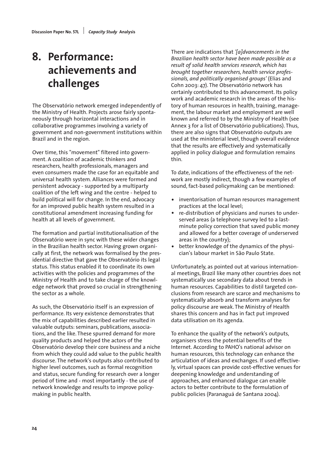# **8. Performance: achievements and challenges**

The Observatório network emerged independently of the Ministry of Health. Projects arose fairly spontaneously through horizontal interactions and in collaborative programmes involving a variety of government and non-government institutions within Brazil and in the region.

Over time, this "movement" filtered into government. A coalition of academic thinkers and researchers, health professionals, managers and even consumers made the case for an equitable and universal health system. Alliances were formed and persistent advocacy - supported by a multiparty coalition of the left wing and the centre - helped to build political will for change. In the end, advocacy for an improved public health system resulted in a constitutional amendment increasing funding for health at all levels of government.

The formation and partial institutionalisation of the Observatório were in sync with these wider changes in the Brazilian health sector. Having grown organically at first, the network was formalised by the presidential directive that gave the Observatório its legal status. This status enabled it to coordinate its own activities with the policies and programmes of the Ministry of Health and to take charge of the knowledge network that proved so crucial in strengthening the sector as a whole.

As such, the Observatório itself is an expression of performance. Its very existence demonstrates that the mix of capabilities described earlier resulted in valuable outputs: seminars, publications, associations, and the like. These spurred demand for more quality products and helped the actors of the Observatório develop their core business and a niche from which they could add value to the public health discourse. The network's outputs also contributed to higher level outcomes, such as formal recognition and status, secure funding for research over a longer period of time and - most importantly - the use of network knowledge and results to improve policymaking in public health.

There are indications that *'[a]dvancements in the Brazilian health sector have been made possible as a result of solid health services research, which has brought together researchers, health service professionals, and politically organised groups'* (Elias and Cohn 2003: 47). The Observatório network has certainly contributed to this advancement. Its policy work and academic research in the areas of the history of human resources in health, training, management, the labour market and employment are well known and referred to by the Ministry of Health (see Annex 3 for a list of Observatório publications). Thus, there are also signs that Observatório outputs are used at the ministerial level, though overall evidence that the results are effectively and systematically applied in policy dialogue and formulation remains thin.

To date, indications of the effectiveness of the network are mostly indirect, though a few examples of sound, fact-based policymaking can be mentioned:

- inventorisation of human resources management practices at the local level;
- re-distribution of physicians and nurses to underserved areas (a telephone survey led to a lastminute policy correction that saved public money and allowed for a better coverage of underserved areas in the country);
- better knowledge of the dynamics of the physician's labour market in São Paulo State.

Unfortunately, as pointed out at various international meetings, Brazil like many other countries does not systematically use secondary data about trends in human resources. Capabilities to distil targeted conclusions from research are scarce and mechanisms to systematically absorb and transform analyses for policy discourse are weak. The Ministry of Health shares this concern and has in fact put improved data utilisation on its agenda.

To enhance the quality of the network's outputs, organisers stress the potential benefits of the Internet. According to PAHO's national advisor on human resources, this technology can enhance the articulation of ideas and exchanges. If used effectively, virtual spaces can provide cost-effective venues for deepening knowledge and understanding of approaches, and enhanced dialogue can enable actors to better contribute to the formulation of public policies (Paranaguá de Santana 2004).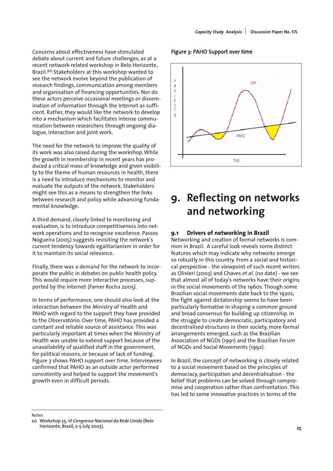Concerns about effectiveness have stimulated debate about current and future challenges, as at a recent network-related workshop in Belo Horizonte, Brazil.20 Stakeholders at this workshop wanted to see the network evolve beyond the publication of research findings, communication among members and organisation of financing opportunities. Nor do these actors perceive occasional meetings or dissemination of information through the Internet as sufficient. Rather, they would like the network to develop into a mechanism which facilitates intense communication between researchers through ongoing dialogue, interaction and joint work.

The need for the network to improve the quality of its work was also raised during the workshop. While the growth in membership in recent years has produced a critical mass of knowledge and given visibility to the theme of human resources in health, there is a need to introduce mechanisms to monitor and evaluate the outputs of the network. Stakeholders might see this as a means to strengthen the links between research and policy while advancing fundamental knowledge.

A third demand, closely linked to monitoring and evaluation, is to introduce competitiveness into network operations and to recognise excellence. Passos Nogueira (2005) suggests revisiting the network's current tendency towards egalitarianism in order for it to maintain its social relevance.

Finally, there was a demand for the network to incorporate the public in debates on public health policy. This would require more interactive processes, supported by the Internet (Famer Rocha 2005).

In terms of performance, one should also look at the interaction between the Ministry of Health and PAHO with regard to the support they have provided to the Observatório. Over time, PAHO has provided a constant and reliable source of assistance. This was particularly important at times when the Ministry of Health was unable to extend support because of the unavailability of qualified staff in the government, for political reasons, or because of lack of funding. Figure 3 shows PAHO support over time. Interviewees confirmed that PAHO as an outside actor performed consistently and helped to support the movement's growth even in difficult periods.

#### Figure 3: PAHO Support over time



# **9. Reflecting on networks and networking**

### **9.1 Drivers of networking in Brazil**

Networking and creation of formal networks is common in Brazil. A careful look reveals some distinct features which may indicate why networks emerge so robustly in this country. From a social and historical perspective - the viewpoint of such recent writers as Olivieri (2003) and Chaves *et al*. (no date) - we see that almost all of today's networks have their origins in the social movements of the 1960s. Though some Brazilian social movements date back to the 1930s, the fight against dictatorship seems to have been particularly formative in shaping a common ground and broad consensus for building up citizenship. In the struggle to create democratic, participatory and decentralised structures in their society, more formal arrangements emerged, such as the Brazilian Association of NGOs (1991) and the Brazilian Forum of NGOs and Social Movements (1992).

In Brazil, the concept of networking is closely related to a social movement based on the principles of democracy, participation and decentralisation - the belief that problems can be solved through compromise and cooperation rather than confrontation. This has led to some innovative practices in terms of the

#### Notes

**<sup>20</sup> Workshop 55,** *VI Congresso Nacional da Rede Unida* **(Belo Horizonte, Brazil, 2-5 July 2005).**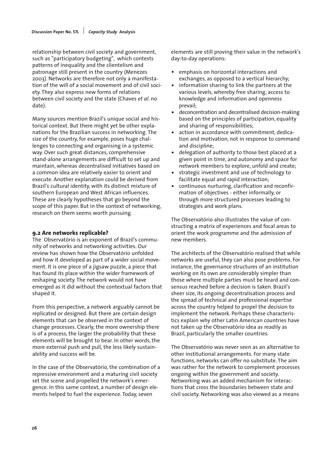relationship between civil society and government, such as "participatory budgeting", which contests patterns of inequality and the clientelism and patronage still present in the country (Menezes 2003). Networks are therefore not only a manifestation of the will of a social movement and of civil society. They also express new forms of relations between civil society and the state (Chaves *et al*. no date).

Many sources mention Brazil's unique social and historical context. But there might yet be other explanations for the Brazilian success in networking. The size of the country, for example, poses huge challenges to connecting and organising in a systemic way. Over such great distances, comprehensive stand-alone arrangements are difficult to set up and maintain, whereas decentralised initiatives based on a common idea are relatively easier to orient and execute. Another explanation could be derived from Brazil's cultural identity, with its distinct mixture of southern European and West African influences. These are clearly hypotheses that go beyond the scope of this paper. But in the context of networking, research on them seems worth pursuing.

#### **9.2 Are networks replicable?**

The Observatório is an exponent of Brazil's community of networks and networking activities. Our review has shown how the Observatório unfolded and how it developed as part of a wider social movement. It is one piece of a jigsaw puzzle, a piece that has found its place within the wider framework of reshaping society. The network would not have emerged as it did without the contextual factors that shaped it.

From this perspective, a network arguably cannot be replicated or designed. But there are certain design elements that can be observed in the context of change processes. Clearly, the more ownership there is of a process, the larger the probability that these elements will be brought to bear. In other words, the more external push and pull, the less likely sustainability and success will be.

In the case of the Observatório, the combination of a repressive environment and a maturing civil society set the scene and propelled the network's emergence. In this same context, a number of design elements helped to fuel the experience. Today, seven

elements are still proving their value in the network's day-to-day operations:

- emphasis on horizontal interactions and exchanges, as opposed to a vertical hierarchy;
- information sharing to link the partners at the various levels, whereby free sharing, access to knowledge and information and openness prevail;
- deconcentration and decentralised decision-making based on the principles of participation, equality and sharing of responsibilities;
- action in accordance with commitment, dedication and motivation, not in response to command and discipline;
- delegation of authority to those best placed at a given point in time, and autonomy and space for network members to explore, unfold and create;
- strategic investment and use of technology to facilitate equal and rapid interaction;
- continuous nurturing, clarification and reconfirmation of objectives - either informally, or through more structured processes leading to strategies and work plans.

The Observatório also illustrates the value of constructing a matrix of experiences and focal areas to orient the work programme and the admission of new members.

The architects of the Observatório realised that while networks are useful, they can also pose problems. For instance, the governance structures of an institution working on its own are considerably simpler than those where multiple parties must be heard and consensus reached before a decision is taken. Brazil's sheer size, its ongoing decentralisation process and the spread of technical and professional expertise across the country helped to propel the decision to implement the network. Perhaps these characteristics explain why other Latin American countries have not taken up the Observatório idea as readily as Brazil, particularly the smaller countries.

The Observatório was never seen as an alternative to other institutional arrangements. For many state functions, networks can offer no substitute. The aim was rather for the network to complement processes ongoing within the government and society. Networking was an added mechanism for interactions that cross the boundaries between state and civil society. Networking was also viewed as a means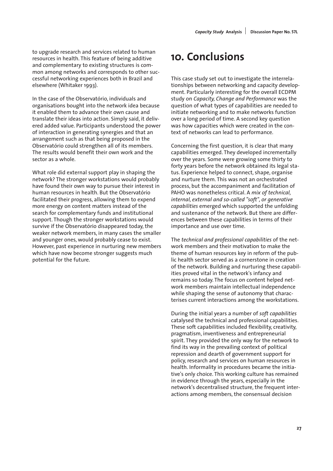to upgrade research and services related to human resources in health. This feature of being additive and complementary to existing structures is common among networks and corresponds to other successful networking experiences both in Brazil and elsewhere (Whitaker 1993).

In the case of the Observatório, individuals and organisations bought into the network idea because it enabled them to advance their own cause and translate their ideas into action. Simply said, it delivered added value. Participants understood the power of interaction in generating synergies and that an arrangement such as that being proposed in the Observatório could strengthen all of its members. The results would benefit their own work and the sector as a whole.

What role did external support play in shaping the network? The stronger workstations would probably have found their own way to pursue their interest in human resources in health. But the Observatório facilitated their progress, allowing them to expend more energy on content matters instead of the search for complementary funds and institutional support. Though the stronger workstations would survive if the Observatório disappeared today, the weaker network members, in many cases the smaller and younger ones, would probably cease to exist. However, past experience in nurturing new members which have now become stronger suggests much potential for the future.

# **10. Conclusions**

This case study set out to investigate the interrelationships between networking and capacity development. Particularly interesting for the overall ECDPM study on *Capacity, Change and Performance* was the question of what types of capabilities are needed to initiate networking and to make networks function over a long period of time. A second key question was how capacities which were created in the context of networks can lead to performance.

Concerning the first question, it is clear that many capabilities emerged. They developed incrementally over the years. Some were growing some thirty to forty years before the network obtained its legal status. Experience helped to connect, shape, organise and nurture them. This was not an orchestrated process, but the accompaniment and facilitation of PAHO was nonetheless critical. A *mix of technical, internal, external and so-called "soft", or generative capabilities* emerged which supported the unfolding and sustenance of the network. But there are differences between these capabilities in terms of their importance and use over time.

The *technical and professional capabilities* of the network members and their motivation to make the theme of human resources key in reform of the public health sector served as a cornerstone in creation of the network. Building and nurturing these capabilities proved vital in the network's infancy and remains so today. The focus on content helped network members maintain intellectual independence while shaping the sense of autonomy that characterises current interactions among the workstations.

During the initial years a number of *soft capabilities* catalysed the technical and professional capabilities. These soft capabilities included flexibility, creativity, pragmatism, inventiveness and entrepreneurial spirit. They provided the only way for the network to find its way in the prevailing context of political repression and dearth of government support for policy, research and services on human resources in health. Informality in procedures became the initiative's only choice. This working culture has remained in evidence through the years, especially in the network's decentralised structure, the frequent interactions among members, the consensual decision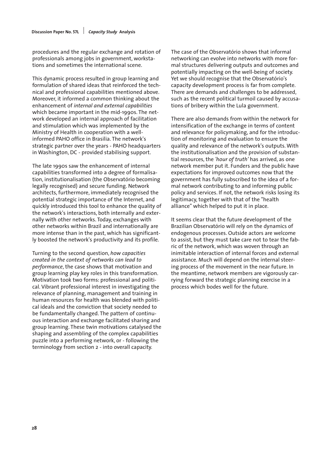procedures and the regular exchange and rotation of professionals among jobs in government, workstations and sometimes the international scene.

This dynamic process resulted in group learning and formulation of shared ideas that reinforced the technical and professional capabilities mentioned above. Moreover, it informed a common thinking about the enhancement of *internal and external capabilities* which became important in the mid-1990s. The network developed an internal approach of facilitation and stimulation which was implemented by the Ministry of Health in cooperation with a wellinformed PAHO office in Brasilia. The network's strategic partner over the years - PAHO headquarters in Washington, DC - provided stabilising support.

The late 1990s saw the enhancement of internal capabilities transformed into a degree of formalisation, institutionalisation (the Observatório becoming legally recognised) and secure funding. Network architects, furthermore, immediately recognised the potential strategic importance of the Internet, and quickly introduced this tool to enhance the quality of the network's interactions, both internally and externally with other networks. Today, exchanges with other networks within Brazil and internationally are more intense than in the past, which has significantly boosted the network's productivity and its profile.

Turning to the second question, *how capacities created in the context of networks can lead to performance*, the case shows that motivation and group learning play key roles in this transformation. Motivation took two forms: professional and political. Vibrant professional interest in investigating the relevance of planning, management and training in human resources for health was blended with political ideals and the conviction that society needed to be fundamentally changed. The pattern of continuous interaction and exchange facilitated sharing and group learning. These twin motivations catalysed the shaping and assembling of the complex capabilities puzzle into a performing network, or - following the terminology from section 2 - into overall capacity.

The case of the Observatório shows that informal networking can evolve into networks with more formal structures delivering outputs and outcomes and potentially impacting on the well-being of society. Yet we should recognise that the Observatório's capacity development process is far from complete. There are demands and challenges to be addressed, such as the recent political turmoil caused by accusations of bribery within the Lula government.

There are also demands from within the network for intensification of the exchange in terms of content and relevance for policymaking, and for the introduction of monitoring and evaluation to ensure the quality and relevance of the network's outputs. With the institutionalisation and the provision of substantial resources, the *'hour of truth'* has arrived, as one network member put it. Funders and the public have expectations for improved outcomes now that the government has fully subscribed to the idea of a formal network contributing to and informing public policy and services. If not, the network risks losing its legitimacy, together with that of the "health alliance" which helped to put it in place.

It seems clear that the future development of the Brazilian Observatório will rely on the dynamics of endogenous processes. Outside actors are welcome to assist, but they must take care not to tear the fabric of the network, which was woven through an inimitable interaction of internal forces and external assistance. Much will depend on the internal steering process of the movement in the near future. In the meantime, network members are vigorously carrying forward the strategic planning exercise in a process which bodes well for the future.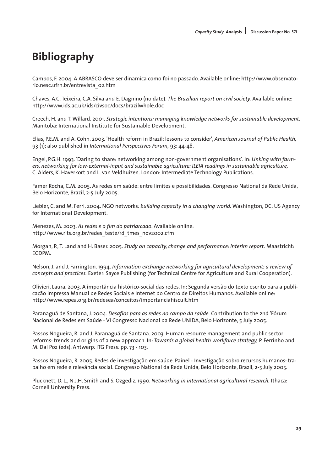# **Bibliography**

Campos, F. 2004. A ABRASCO deve ser dinamica como foi no passado. Available online: http://www.observatorio.nesc.ufrn.br/entrevista\_02.htm

Chaves, A.C. Teixeira, C.A. Silva and E. Dagnino (no date). *The Brazilian report on civil society.* Available online: http://www.ids.ac.uk/ids/civsoc/docs/brazilwhole.doc

Creech, H. and T. Willard. 2001. *Strategic intentions: managing knowledge networks for sustainable development.* Manitoba: International Institute for Sustainable Development.

Elias, P.E.M. and A. Cohn. 2003. 'Health reform in Brazil: lessons to consider', *American Journal of Public Health,* 93 (1); also published in *International Perspectives Forum,* 93: 44-48.

Engel, P.G.H. 1993. 'Daring to share: networking among non-government organisations'. In: *Linking with farmers, networking for low-external-input and sustainable agriculture: ILEIA readings in sustainable agriculture,* C. Alders, K. Haverkort and L. van Veldhuizen. London: Intermediate Technology Publications.

Famer Rocha, C.M. 2005. As redes em saúde: entre limites e possibilidades. Congresso National da Rede Unida, Belo Horizonte, Brazil, 2-5 July 2005.

Liebler, C. and M. Ferri. 2004. NGO networks: *building capacity in a changing world.* Washington, DC: US Agency for International Development.

Menezes, M. 2003. *As redes e o fim do patriarcado*. Available online: http://www.rits.org.br/redes\_teste/rd\_tmes\_nov2002.cfm

Morgan, P., T. Land and H. Baser. 2005. *Study on capacity, change and performance: interim report.* Maastricht: ECDPM.

Nelson, J. and J. Farrington. 1994. *Information exchange networking for agricultural development: a review of concepts and practices.* Exeter: Sayce Publishing (for Technical Centre for Agriculture and Rural Cooperation).

Olivieri, Laura. 2003. A importância histórico-social das redes. In: Segunda versão do texto escrito para a publicação impressa Manual de Redes Sociais e Internet do Centro de Direitos Humanos. Available online: http://www.repea.org.br/redesea/conceitos/importanciahiscult.htm

Paranaguá de Santana, J. 2004. *Desafios para as redes no campo da saúde.* Contribution to the 2nd 'Fórum Nacional de Redes em Saúde - VI Congresso Nacional da Rede UNIDA, Belo Horizonte, 5 July 2005.

Passos Nogueira, R. and J. Paranaguá de Santana. 2003. Human resource management and public sector reforms: trends and origins of a new approach. In: *Towards a global health workforce strategy,* P. Ferrinho and M. Dal Poz (eds). Antwerp: ITG Press: pp. 73 - 103.

Passos Nogueira, R. 2005. Redes de investigação em saúde. Painel - Investigação sobro recursos humanos: trabalho em rede e relevância social. Congresso National da Rede Unida, Belo Horizonte, Brazil, 2-5 July 2005.

Plucknett, D. L., N.J.H. Smith and S. Ozgediz. 1990. *Networking in international agricultural research.* Ithaca: Cornell University Press.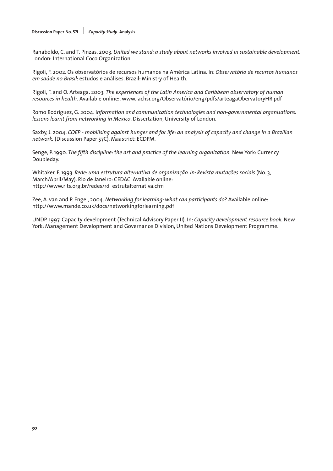#### **Discussion Paper No. 57L** *Capacity Study* **Analysis**

Ranaboldo, C. and T. Pinzas. 2003. *United we stand: a study about networks involved in sustainable development.* London: International Coco Organization.

Rigoli, F. 2002. Os observatórios de recursos humanos na América Latina. In: *Observatório de recursos humanos em saúde no Brasil*: estudos e análises. Brazil: Ministry of Health.

Rigoli, F. and O. Arteaga. 2003. *The experiences of the Latin America and Caribbean observatory of human resources in health.* Available online:. www.lachsr.org/Observatório/eng/pdfs/arteagaObervatoryHR.pdf

Romo Rodríguez, G. 2004. I*nformation and communication technologies and non-governmental organisations: lessons learnt from networking in Mexico*. Dissertation, University of London.

Saxby, J. 2004. *COEP - mobilising against hunger and for life: an analysis of capacity and change in a Brazilian network.* (Discussion Paper 57C). Maastrict: ECDPM.

Senge, P. 1990. *The fifth discipline: the art and practice of the learning organization.* New York: Currency Doubleday.

Whitaker, F. 1993. *Rede: uma estrutura alternativa de organização. In: Revista mutações sociais* (No. 3, March/April/May). Rio de Janeiro: CEDAC. Available online: http://www.rits.org.br/redes/rd\_estrutalternativa.cfm

Zee, A. van and P. Engel, 2004. *Networking for learning: what can participants do?* Available online: http://www.mande.co.uk/docs/networkingforlearning.pdf

UNDP. 1997. Capacity development (Technical Advisory Paper II). In: *Capacity development resource book.* New York: Management Development and Governance Division, United Nations Development Programme.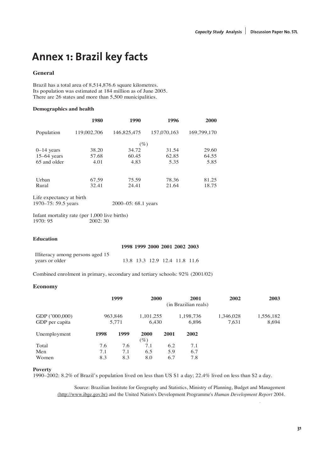## **Annex 1: Brazil key facts**

#### **General**

Brazil has a total area of 8,514,876.6 square kilometres. Its population was estimated at 184 million as of June 2005. There are 26 states and more than 5,500 municipalities.

#### **Demographics and health**

|               | 1980        | 1990        | 1996        | 2000        |
|---------------|-------------|-------------|-------------|-------------|
| Population    | 119,002,706 | 146,825,475 | 157,070,163 | 169,799,170 |
|               |             | $(\%)$      |             |             |
| $0-14$ years  | 38.20       | 34.72       | 31.54       | 29.60       |
| $15-64$ years | 57.68       | 60.45       | 62.85       | 64.55       |
| 65 and older  | 4.01        | 4.83        | 5.35        | 5.85        |
|               |             |             |             |             |
| Urban         | 67.59       | 75.59       | 78.36       | 81.25       |
| Rural         | 32.41       | 24.41       | 21.64       | 18.75       |

Life expectancy at birth 1970–75: 59.5 years 2000–05: 68.1 years

Infant mortality rate (per  $1,000$  live births)<br>1970: 95  $2002:30$ 2002: 30

#### **Education**

|                                  | 1998 1999 2000 2001 2002 2003 |  |                               |  |
|----------------------------------|-------------------------------|--|-------------------------------|--|
| Illiteracy among persons aged 15 |                               |  |                               |  |
| years or older                   |                               |  | 13.8 13.3 12.9 12.4 11.8 11.6 |  |

Combined enrolment in primary, secondary and tertiary schools: 92% (2001/02)

#### **Economy**

|                                  |                  | 1999       | <b>2000</b>           |            | 2001<br>(in Brazilian reals) | 2002               | 2003               |
|----------------------------------|------------------|------------|-----------------------|------------|------------------------------|--------------------|--------------------|
| GDP ('000,000)<br>GDP per capita | 963,846<br>5,771 |            | 1,101,255<br>6.430    |            | 1,198,736<br>6,896           | 1,346,028<br>7,631 | 1,556,182<br>8,694 |
| Unemployment                     | 1998             | 1999       | <b>2000</b><br>$(\%)$ | 2001       | 2002                         |                    |                    |
| Total                            | 7.6              | 7.6        | 7.1                   | 6.2        | 7.1                          |                    |                    |
| Men<br>Women                     | 7.1<br>8.3       | 7.1<br>8.3 | 6.5<br>8.0            | 5.9<br>6.7 | 6.7<br>7.8                   |                    |                    |

#### **Poverty**

1990–2002: 8.2% of Brazil's population lived on less than US \$1 a day; 22.4% lived on less than \$2 a day.

Source: Brazilian Institute for Geography and Statistics, Ministry of Planning, Budget and Management Source: Brazilian Institute for Geography and Statistics, Ministry of Planning, Budget and Management (http://www.ibge.gov.br) and the United Nation's Development Programme's *Human Development*  (http://www.ibge.gov.br) and the United Nation's Development Programme's *Human Development Report* 2004.

*Report 2004.*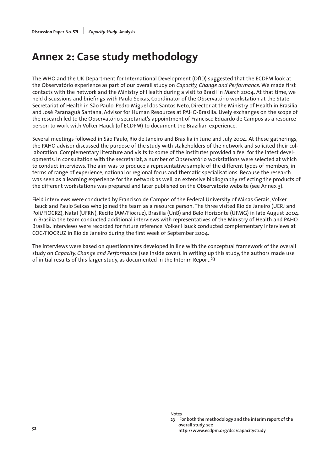# **Annex 2: Case study methodology**

The WHO and the UK Department for International Development (DfID) suggested that the ECDPM look at the Observatório experience as part of our overall study on *Capacity, Change and Performance.* We made first contacts with the network and the Ministry of Health during a visit to Brazil in March 2004. At that time, we held discussions and briefings with Paulo Seixas, Coordinator of the Observatório workstation at the State Secretariat of Health in São Paulo, Pedro Miguel dos Santos Neto, Director at the Ministry of Health in Brasilia and José Paranaguá Santana, Advisor for Human Resources at PAHO-Brasilia. Lively exchanges on the scope of the research led to the Observatório secretariat's appointment of Francisco Eduardo de Campos as a resource person to work with Volker Hauck (of ECDPM) to document the Brazilian experience.

Several meetings followed in São Paulo, Rio de Janeiro and Brasilia in June and July 2004. At these gatherings, the PAHO advisor discussed the purpose of the study with stakeholders of the network and solicited their collaboration. Complementary literature and visits to some of the institutes provided a feel for the latest developments. In consultation with the secretariat, a number of Observatório workstations were selected at which to conduct interviews. The aim was to produce a representative sample of the different types of members, in terms of range of experience, national or regional focus and thematic specialisations. Because the research was seen as a learning experience for the network as well, an extensive bibliography reflecting the products of the different workstations was prepared and later published on the Observatório website (see Annex 3).

Field interviews were conducted by Francisco de Campos of the Federal University of Minas Gerais, Volker Hauck and Paulo Seixas who joined the team as a resource person. The three visited Rio de Janeiro (UERJ and Poli/FIOCRZ), Natal (UFRN), Recife (AM/Fiocruz), Brasilia (UnB) and Belo Horizonte (UFMG) in late August 2004. In Brasilia the team conducted additional interviews with representatives of the Ministry of Health and PAHO-Brasilia. Interviews were recorded for future reference. Volker Hauck conducted complementary interviews at COC/FIOCRUZ in Rio de Janeiro during the first week of September 2004.

The interviews were based on questionnaires developed in line with the conceptual framework of the overall study on *Capacity, Change and Performance* (see inside cover). In writing up this study, the authors made use of initial results of this larger study, as documented in the Interim Report.<sup>23</sup>

Notes

**<sup>23</sup> For both the methodology and the interim report of the overall study, see http://www.ecdpm.org/dcc/capacitystudy <sup>32</sup>**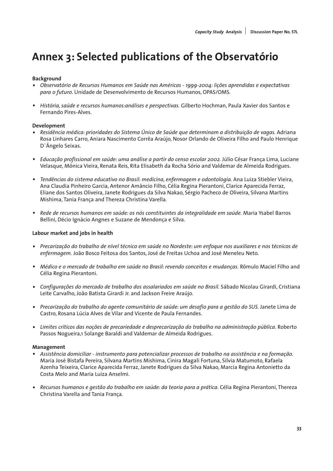# **Annex 3: Selected publications of the Observatório**

### **Background**

- *Observatório de Recursos Humanos em Saúde nas Américas 1999-2004: lições aprendidas e expectativas para o futuro*. Unidade de Desenvolvimento de Recursos Humanos, OPAS/OMS.
- *História, saúde e recursos humanos:análises e perspectivas.* Gilberto Hochman, Paula Xavier dos Santos e Fernando Pires-Alves.

### **Development**

- *Residência médica: prioridades do Sistema Único de Saúde que determinam a distribuição de vagas.* Adriana Rosa Linhares Carro, Aniara Nascimento Corrêa Araújo, Nosor Orlando de Oliveira Filho and Paulo Henrique D`Ângelo Seixas.
- *Educação profissional em saúde: uma análise a partir do censo escolar 2002.* Júlio César França Lima, Luciane Velasque, Mônica Vieira, Renata Reis, Rita Elisabeth da Rocha Sório and Valdemar de Almeida Rodrigues.
- *Tendências do sistema educativo no Brasil: medicina, enfermagem e odontologia.* Ana Luiza Stiebler Vieira, Ana Claudia Pinheiro Garcia, Antenor Amâncio Filho, Célia Regina Pierantoni, Clarice Aparecida Ferraz, Eliane dos Santos Oliveira, Janete Rodrigues da Silva Nakao, Sérgio Pacheco de Oliveira, Silvana Martins Mishima, Tania França and Thereza Christina Varella.
- *Rede de recursos humanos em saúde: os nós constituintes da integralidade em saúde.* Maria Ysabel Barros Bellini, Décio Ignácio Angnes e Suzane de Mendonça e Silva.

### **Labour market and jobs in health**

- *Precarização do trabalho de nível técnico em saúde no Nordeste: um enfoque nos auxiliares e nos técnicos de enfermagem.* João Bosco Feitosa dos Santos, José de Freitas Uchoa and José Meneleu Neto.
- *Médico e o mercado de trabalho em saúde no Brasil: revendo conceitos e mudanças.* Rômulo Maciel Filho and Célia Regina Pierantoni.
- *Configurações do mercado de trabalho dos assalariados em saúde no Brasil.* Sábado Nicolau Girardi, Cristiana Leite Carvalho, João Batista Girardi Jr. and Jackson Freire Araújo.
- *Precarização do trabalho do agente comunitário de saúde: um desafio para a gestão do SUS.* Janete Lima de Castro, Rosana Lúcia Alves de Vilar and Vicente de Paula Fernandes.
- *Limites críticos das noções de precariedade e desprecarização do trabalho na administração pública.* Roberto Passos Nogueira,1 Solange Baraldi and Valdemar de Almeida Rodrigues.

### **Management**

- *Assistência domiciliar instrumento para potencializar processos de trabalho na assistência e na formação.* Maria José Bistafa Pereira, Silvana Martins Mishima, Cinira Magali Fortuna, Silvia Matumoto, Rafaela Azenha Teixeira, Clarice Aparecida Ferraz, Janete Rodrigues da Silva Nakao, Marcia Regina Antonietto da Costa Melo and Maria Luiza Anselmi.
- *Recursos humanos e gestão do trabalho em saúde: da teoria para a prática.* Célia Regina Pierantoni, Thereza Christina Varella and Tania França.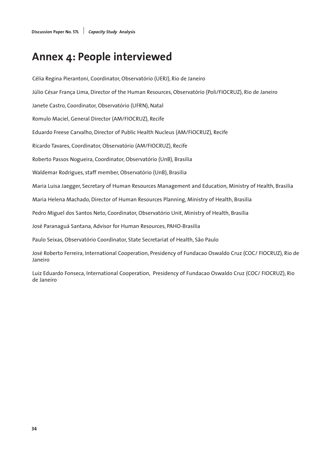# **Annex 4: People interviewed**

Célia Regina Pierantoni, Coordinator, Observatório (UERJ), Rio de Janeiro Júlio César França Lima, Director of the Human Resources, Observatório (Poli/FIOCRUZ), Rio de Janeiro Janete Castro, Coordinator, Observatório (UFRN), Natal Romulo Maciel, General Director (AM/FIOCRUZ), Recife Eduardo Freese Carvalho, Director of Public Health Nucleus (AM/FIOCRUZ), Recife Ricardo Tavares, Coordinator, Observatório (AM/FIOCRUZ), Recife Roberto Passos Nogueira, Coordinator, Observatório (UnB), Brasilia Waldemar Rodrigues, staff member, Observatório (UnB), Brasilia Maria Luisa Jaegger, Secretary of Human Resources Management and Education, Ministry of Health, Brasilia Maria Helena Machado, Director of Human Resources Planning, Ministry of Health, Brasilia Pedro Miguel dos Santos Neto, Coordinator, Observatório Unit, Ministry of Health, Brasilia José Paranaguá Santana, Advisor for Human Resources, PAHO-Brasilia Paulo Seixas, Observatório Coordinator, State Secretariat of Health, São Paulo José Roberto Ferreira, International Cooperation, Presidency of Fundacao Oswaldo Cruz (COC/ FIOCRUZ), Rio de Janeiro

Luiz Eduardo Fonseca, International Cooperation, Presidency of Fundacao Oswaldo Cruz (COC/ FIOCRUZ), Rio de Janeiro